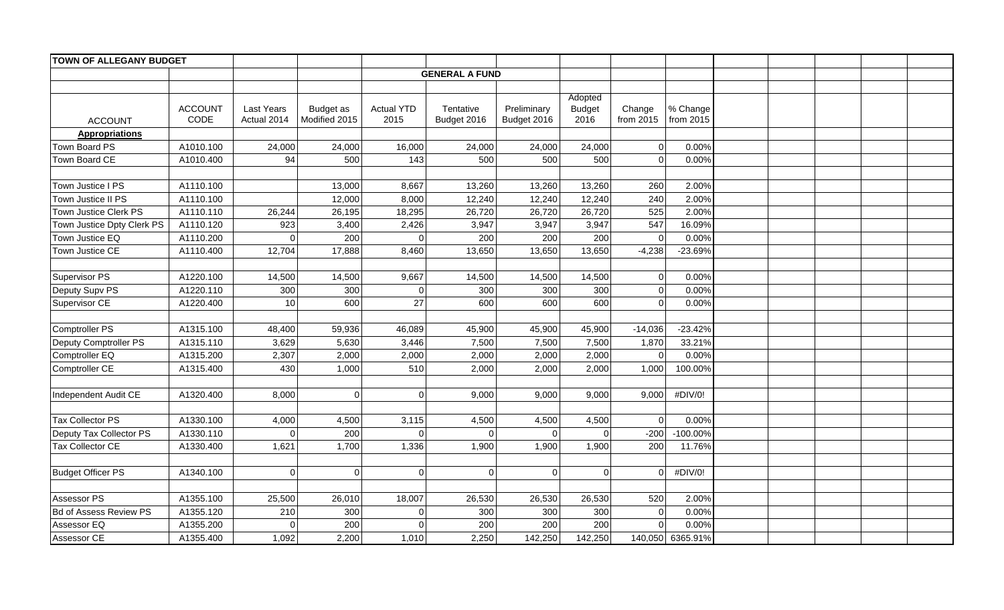| <b>TOWN OF ALLEGANY BUDGET</b> |                |                |                  |                   |                       |                |                          |                     |                  |  |  |  |
|--------------------------------|----------------|----------------|------------------|-------------------|-----------------------|----------------|--------------------------|---------------------|------------------|--|--|--|
|                                |                |                |                  |                   | <b>GENERAL A FUND</b> |                |                          |                     |                  |  |  |  |
|                                |                |                |                  |                   |                       |                |                          |                     |                  |  |  |  |
|                                | <b>ACCOUNT</b> | Last Years     | <b>Budget as</b> | <b>Actual YTD</b> | Tentative             | Preliminary    | Adopted<br><b>Budget</b> | Change              | % Change         |  |  |  |
| <b>ACCOUNT</b>                 | CODE           | Actual 2014    | Modified 2015    | 2015              | Budget 2016           | Budget 2016    | 2016                     | from 2015           | from 2015        |  |  |  |
| <b>Appropriations</b>          |                |                |                  |                   |                       |                |                          |                     |                  |  |  |  |
| Town Board PS                  | A1010.100      | 24,000         | 24,000           | 16,000            | 24,000                | 24,000         | 24,000                   | $\overline{0}$      | 0.00%            |  |  |  |
| Town Board CE                  | A1010.400      | 94             | 500              | 143               | 500                   | 500            | 500                      | $\pmb{0}$           | 0.00%            |  |  |  |
|                                |                |                |                  |                   |                       |                |                          |                     |                  |  |  |  |
| Town Justice I PS              | A1110.100      |                | 13,000           | 8,667             | 13,260                | 13,260         | 13,260                   | 260                 | 2.00%            |  |  |  |
| Town Justice II PS             | A1110.100      |                | 12,000           | 8,000             | 12,240                | 12,240         | 12,240                   | 240                 | 2.00%            |  |  |  |
| Town Justice Clerk PS          | A1110.110      | 26,244         | 26,195           | 18,295            | 26,720                | 26,720         | 26,720                   | 525                 | 2.00%            |  |  |  |
| Town Justice Dpty Clerk PS     | A1110.120      | 923            | 3,400            | 2,426             | 3,947                 | 3,947          | 3,947                    | 547                 | 16.09%           |  |  |  |
| Town Justice EQ                | A1110.200      | $\mathbf 0$    | 200              | $\Omega$          | 200                   | 200            | 200                      | 0                   | 0.00%            |  |  |  |
| Town Justice CE                | A1110.400      | 12,704         | 17,888           | 8,460             | 13,650                | 13,650         | 13,650                   | $-4,238$            | -23.69%          |  |  |  |
|                                |                |                |                  |                   |                       |                |                          |                     |                  |  |  |  |
| Supervisor PS                  | A1220.100      | 14,500         | 14,500           | 9,667             | 14,500                | 14,500         | 14,500                   | $\mathbf 0$         | 0.00%            |  |  |  |
| Deputy Supv PS                 | A1220.110      | 300            | 300              | $\Omega$          | 300                   | 300            | 300                      | $\mathsf{O}\xspace$ | 0.00%            |  |  |  |
| Supervisor CE                  | A1220.400      | 10             | 600              | 27                | 600                   | 600            | 600                      | $\mathbf 0$         | 0.00%            |  |  |  |
|                                |                |                |                  |                   |                       |                |                          |                     |                  |  |  |  |
| <b>Comptroller PS</b>          | A1315.100      | 48,400         | 59,936           | 46,089            | 45,900                | 45,900         | 45,900                   | $-14,036$           | $-23.42%$        |  |  |  |
| Deputy Comptroller PS          | A1315.110      | 3,629          | 5,630            | 3,446             | 7,500                 | 7,500          | 7,500                    | 1,870               | 33.21%           |  |  |  |
| Comptroller EQ                 | A1315.200      | 2,307          | 2,000            | 2,000             | 2,000                 | 2,000          | 2,000                    | $\mathbf 0$         | 0.00%            |  |  |  |
| Comptroller CE                 | A1315.400      | 430            | 1,000            | 510               | 2,000                 | 2,000          | 2,000                    | 1,000               | 100.00%          |  |  |  |
|                                |                |                |                  |                   |                       |                |                          |                     |                  |  |  |  |
| Independent Audit CE           | A1320.400      | 8,000          | $\mathbf 0$      | $\mathbf 0$       | 9,000                 | 9,000          | 9,000                    | 9,000               | #DIV/0!          |  |  |  |
|                                |                |                |                  |                   |                       |                |                          |                     |                  |  |  |  |
| Tax Collector PS               | A1330.100      | 4,000          | 4,500            | 3,115             | 4,500                 | 4,500          | 4,500                    | $\Omega$            | 0.00%            |  |  |  |
| Deputy Tax Collector PS        | A1330.110      | $\overline{0}$ | 200              | $\Omega$          | $\Omega$              | $\Omega$       | Οl                       | $-200$              | $-100.00\%$      |  |  |  |
| <b>Tax Collector CE</b>        | A1330.400      | 1,621          | 1,700            | 1,336             | 1,900                 | 1,900          | 1,900                    | 200                 | 11.76%           |  |  |  |
|                                |                |                |                  |                   |                       |                |                          |                     |                  |  |  |  |
| <b>Budget Officer PS</b>       | A1340.100      | $\overline{0}$ | $\mathbf 0$      | $\overline{0}$    | $\pmb{0}$             | $\overline{0}$ | 0                        | $\mathbf 0$         | #DIV/0!          |  |  |  |
|                                |                |                |                  |                   |                       |                |                          |                     |                  |  |  |  |
| Assessor PS                    | A1355.100      | 25,500         | 26,010           | 18,007            | 26,530                | 26,530         | 26,530                   | 520                 | 2.00%            |  |  |  |
| <b>Bd of Assess Review PS</b>  | A1355.120      | 210            | 300              | $\Omega$          | 300                   | 300            | 300                      | $\mathbf 0$         | 0.00%            |  |  |  |
| Assessor EQ                    | A1355.200      | $\mathbf 0$    | 200              |                   | 200                   | 200            | 200                      | $\mathbf 0$         | 0.00%            |  |  |  |
| Assessor CE                    | A1355.400      | 1,092          | 2,200            | 1,010             | 2,250                 | 142,250        | 142,250                  |                     | 140,050 6365.91% |  |  |  |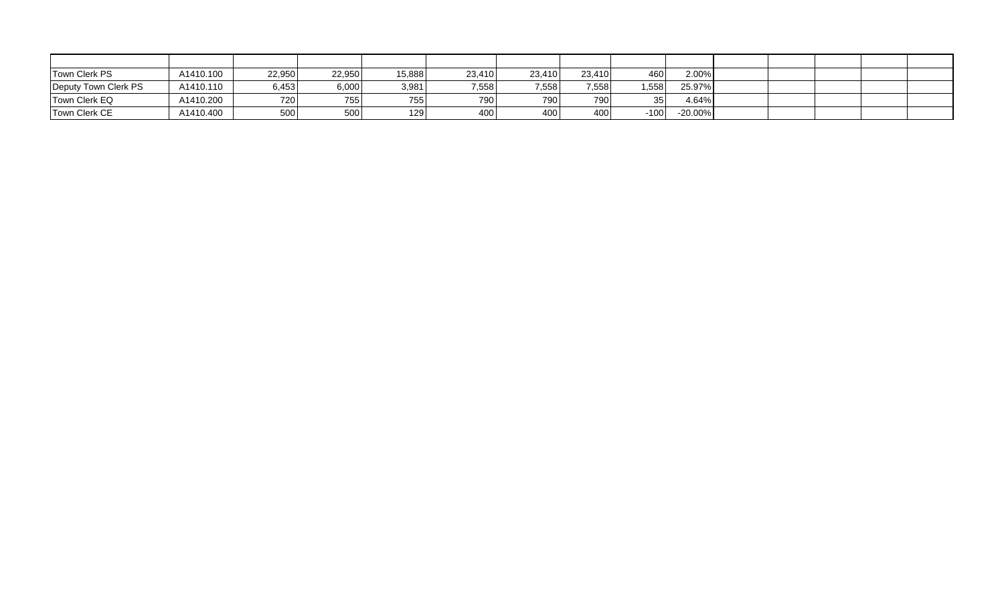| Town Clerk PS        | A1410.100 | 22,950 | 22,950 | 15,888 | 23,410 | 23.410 | 23.410 | 460   | 2.00%      |  |  |  |
|----------------------|-----------|--------|--------|--------|--------|--------|--------|-------|------------|--|--|--|
| Deputy Town Clerk PS | A1410.110 | 6,453  | 6,000  | 3,981  | 7,558  | 7,558  | 7,558  | 1,558 | 25.97%     |  |  |  |
| Town Clerk EQ        | A1410.200 | 720    | 755    | 755    | 7901   | 790    | 790    | 35    | 4.64%      |  |  |  |
| Town Clerk CE        | A1410.400 | 500    | 500    | 129    | 400    | 400    | 400    | -100  | $-20.00\%$ |  |  |  |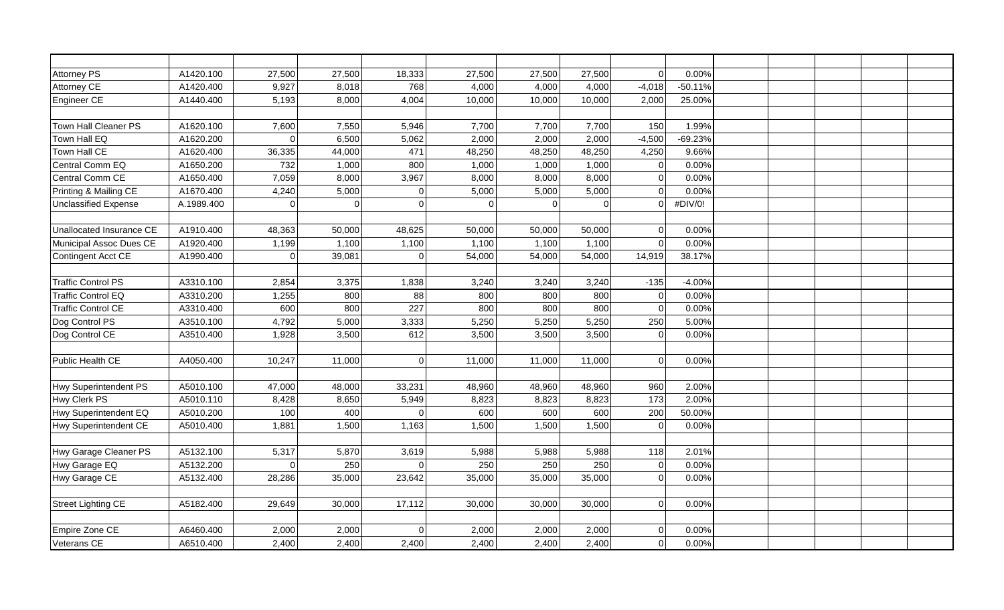| <b>Attorney PS</b>          | A1420.100  | 27,500       | 27,500   | 18,333      | 27,500   | 27,500   | 27,500   | $\mathbf 0$ | 0.00%     |  |  |  |
|-----------------------------|------------|--------------|----------|-------------|----------|----------|----------|-------------|-----------|--|--|--|
| <b>Attorney CE</b>          | A1420.400  | 9,927        | 8,018    | 768         | 4,000    | 4,000    | 4,000    | $-4,018$    | $-50.11%$ |  |  |  |
| Engineer CE                 | A1440.400  | 5,193        | 8,000    | 4,004       | 10,000   | 10,000   | 10,000   | 2,000       | 25.00%    |  |  |  |
|                             |            |              |          |             |          |          |          |             |           |  |  |  |
| Town Hall Cleaner PS        | A1620.100  | 7,600        | 7,550    | 5,946       | 7,700    | 7,700    | 7,700    | 150         | 1.99%     |  |  |  |
| Town Hall EQ                | A1620.200  | $\Omega$     | 6,500    | 5,062       | 2,000    | 2,000    | 2,000    | $-4,500$    | $-69.23%$ |  |  |  |
| Town Hall CE                | A1620.400  | 36,335       | 44,000   | 471         | 48,250   | 48,250   | 48,250   | 4,250       | 9.66%     |  |  |  |
| Central Comm EQ             | A1650.200  | 732          | 1,000    | 800         | 1,000    | 1,000    | 1,000    | $\mathbf 0$ | 0.00%     |  |  |  |
| Central Comm CE             | A1650.400  | 7,059        | 8,000    | 3,967       | 8,000    | 8,000    | 8,000    | $\mathbf 0$ | 0.00%     |  |  |  |
| Printing & Mailing CE       | A1670.400  | 4,240        | 5,000    | $\Omega$    | 5,000    | 5,000    | 5,000    | $\mathbf 0$ | 0.00%     |  |  |  |
| <b>Unclassified Expense</b> | A.1989.400 | $\Omega$     | $\Omega$ | $\Omega$    | $\Omega$ | $\Omega$ | $\Omega$ | $\Omega$    | #DIV/0!   |  |  |  |
|                             |            |              |          |             |          |          |          |             |           |  |  |  |
| Unallocated Insurance CE    | A1910.400  | 48,363       | 50,000   | 48,625      | 50,000   | 50,000   | 50,000   | 0           | 0.00%     |  |  |  |
| Municipal Assoc Dues CE     | A1920.400  | 1,199        | 1,100    | 1,100       | 1,100    | 1,100    | 1,100    | $\mathbf 0$ | 0.00%     |  |  |  |
| Contingent Acct CE          | A1990.400  | $\mathbf{0}$ | 39,081   | $\Omega$    | 54,000   | 54,000   | 54,000   | 14,919      | 38.17%    |  |  |  |
|                             |            |              |          |             |          |          |          |             |           |  |  |  |
| <b>Traffic Control PS</b>   | A3310.100  | 2,854        | 3,375    | 1,838       | 3,240    | 3,240    | 3,240    | $-135$      | $-4.00%$  |  |  |  |
| <b>Traffic Control EQ</b>   | A3310.200  | 1,255        | 800      | 88          | 800      | 800      | 800      | $\mathbf 0$ | 0.00%     |  |  |  |
| <b>Traffic Control CE</b>   | A3310.400  | 600          | 800      | 227         | 800      | 800      | 800      | $\mathbf 0$ | 0.00%     |  |  |  |
| Dog Control PS              | A3510.100  | 4,792        | 5,000    | 3,333       | 5,250    | 5,250    | 5,250    | 250         | 5.00%     |  |  |  |
| Dog Control CE              | A3510.400  | 1,928        | 3,500    | 612         | 3,500    | 3,500    | 3,500    | $\mathbf 0$ | 0.00%     |  |  |  |
|                             |            |              |          |             |          |          |          |             |           |  |  |  |
| Public Health CE            | A4050.400  | 10,247       | 11,000   | $\mathbf 0$ | 11,000   | 11,000   | 11,000   | $\mathbf 0$ | 0.00%     |  |  |  |
|                             |            |              |          |             |          |          |          |             |           |  |  |  |
| Hwy Superintendent PS       | A5010.100  | 47,000       | 48,000   | 33,231      | 48,960   | 48,960   | 48,960   | 960         | 2.00%     |  |  |  |
| Hwy Clerk PS                | A5010.110  | 8,428        | 8,650    | 5,949       | 8,823    | 8,823    | 8,823    | 173         | 2.00%     |  |  |  |
| Hwy Superintendent EQ       | A5010.200  | 100          | 400      | $\Omega$    | 600      | 600      | 600      | 200         | 50.00%    |  |  |  |
| Hwy Superintendent CE       | A5010.400  | 1,881        | 1,500    | 1,163       | 1,500    | 1,500    | 1,500    | $\mathbf 0$ | 0.00%     |  |  |  |
|                             |            |              |          |             |          |          |          |             |           |  |  |  |
| Hwy Garage Cleaner PS       | A5132.100  | 5,317        | 5,870    | 3,619       | 5,988    | 5,988    | 5,988    | 118         | 2.01%     |  |  |  |
| Hwy Garage EQ               | A5132.200  | $\mathbf 0$  | 250      | $\Omega$    | 250      | 250      | 250      | $\mathbf 0$ | 0.00%     |  |  |  |
| Hwy Garage CE               | A5132.400  | 28,286       | 35,000   | 23,642      | 35,000   | 35,000   | 35,000   | $\mathbf 0$ | 0.00%     |  |  |  |
|                             |            |              |          |             |          |          |          |             |           |  |  |  |
| <b>Street Lighting CE</b>   | A5182.400  | 29,649       | 30,000   | 17,112      | 30,000   | 30,000   | 30,000   | $\Omega$    | 0.00%     |  |  |  |
|                             |            |              |          |             |          |          |          |             |           |  |  |  |
| Empire Zone CE              | A6460.400  | 2,000        | 2,000    | $\Omega$    | 2,000    | 2,000    | 2,000    | 0           | 0.00%     |  |  |  |
| Veterans CE                 | A6510.400  | 2,400        | 2,400    | 2,400       | 2,400    | 2,400    | 2,400    | $\pmb{0}$   | 0.00%     |  |  |  |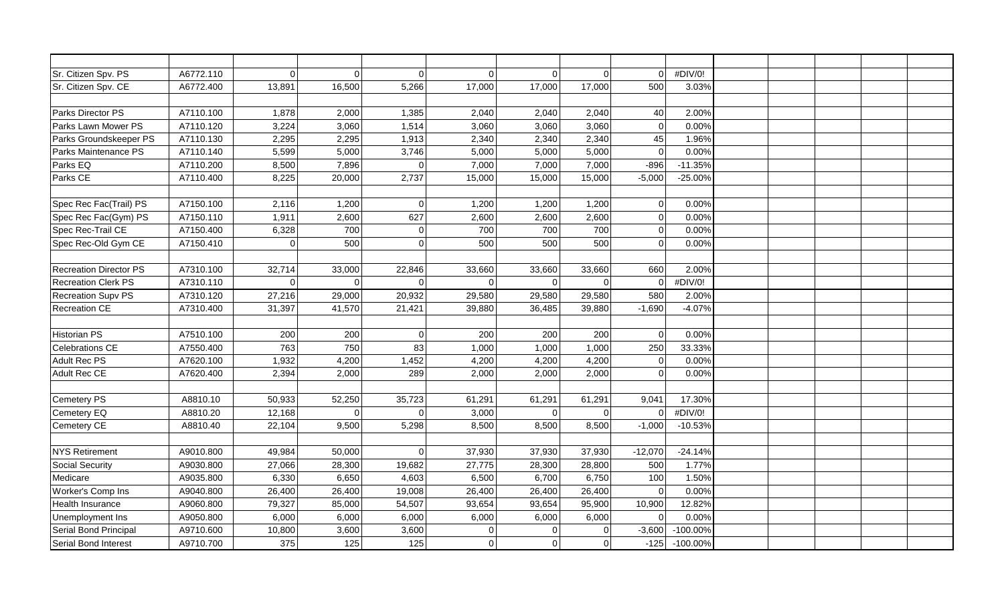| Sr. Citizen Spv. PS           | A6772.110 | $\mathbf 0$  | 0              | $\Omega$       | 0         | $\Omega$ | 0              | $\Omega$     | #DIV/0!     |  |  |  |
|-------------------------------|-----------|--------------|----------------|----------------|-----------|----------|----------------|--------------|-------------|--|--|--|
| Sr. Citizen Spv. CE           | A6772.400 | 13,891       | 16,500         | 5,266          | 17,000    | 17,000   | 17,000         | 500          | 3.03%       |  |  |  |
|                               |           |              |                |                |           |          |                |              |             |  |  |  |
| Parks Director PS             | A7110.100 | 1,878        | 2,000          | 1,385          | 2,040     | 2,040    | 2,040          | 40           | 2.00%       |  |  |  |
| Parks Lawn Mower PS           | A7110.120 | 3,224        | 3,060          | 1,514          | 3,060     | 3,060    | 3,060          | $\mathbf 0$  | 0.00%       |  |  |  |
| Parks Groundskeeper PS        | A7110.130 | 2,295        | 2,295          | 1,913          | 2,340     | 2,340    | 2,340          | 45           | 1.96%       |  |  |  |
| Parks Maintenance PS          | A7110.140 | 5,599        | 5,000          | 3,746          | 5,000     | 5,000    | 5,000          | $\mathbf 0$  | 0.00%       |  |  |  |
| Parks EQ                      | A7110.200 | 8,500        | 7,896          |                | 7,000     | 7,000    | 7,000          | $-896$       | $-11.35%$   |  |  |  |
| Parks CE                      | A7110.400 | 8,225        | 20,000         | 2,737          | 15,000    | 15,000   | 15,000         | $-5,000$     | $-25.00%$   |  |  |  |
|                               |           |              |                |                |           |          |                |              |             |  |  |  |
| Spec Rec Fac(Trail) PS        | A7150.100 | 2,116        | 1,200          | $\Omega$       | 1,200     | 1,200    | 1,200          | $\mathbf 0$  | 0.00%       |  |  |  |
| Spec Rec Fac(Gym) PS          | A7150.110 | 1,911        | 2,600          | 627            | 2,600     | 2,600    | 2,600          | $\mathbf 0$  | 0.00%       |  |  |  |
| Spec Rec-Trail CE             | A7150.400 | 6,328        | 700            | $\mathbf{0}$   | 700       | 700      | 700            | 0            | 0.00%       |  |  |  |
| Spec Rec-Old Gym CE           | A7150.410 | $\mathbf{0}$ | 500            | $\Omega$       | 500       | 500      | 500            | $\mathbf 0$  | 0.00%       |  |  |  |
|                               |           |              |                |                |           |          |                |              |             |  |  |  |
| <b>Recreation Director PS</b> | A7310.100 | 32,714       | 33,000         | 22,846         | 33,660    | 33,660   | 33,660         | 660          | 2.00%       |  |  |  |
| <b>Recreation Clerk PS</b>    | A7310.110 | $\Omega$     | $\overline{0}$ | ∩              | $\Omega$  | $\Omega$ | U              | 0            | #DIV/0!     |  |  |  |
| <b>Recreation Supv PS</b>     | A7310.120 | 27,216       | 29,000         | 20,932         | 29,580    | 29,580   | 29,580         | 580          | 2.00%       |  |  |  |
| <b>Recreation CE</b>          | A7310.400 | 31,397       | 41,570         | 21,421         | 39,880    | 36,485   | 39,880         | $-1,690$     | $-4.07%$    |  |  |  |
|                               |           |              |                |                |           |          |                |              |             |  |  |  |
| <b>Historian PS</b>           | A7510.100 | 200          | 200            | $\overline{0}$ | 200       | 200      | 200            | $\mathbf 0$  | 0.00%       |  |  |  |
| Celebrations CE               | A7550.400 | 763          | 750            | 83             | 1,000     | 1,000    | 1,000          | 250          | 33.33%      |  |  |  |
| <b>Adult Rec PS</b>           | A7620.100 | 1,932        | 4,200          | 1,452          | 4,200     | 4,200    | 4,200          | $\mathbf 0$  | 0.00%       |  |  |  |
| Adult Rec CE                  | A7620.400 | 2,394        | 2,000          | 289            | 2,000     | 2,000    | 2,000          | $\mathbf 0$  | 0.00%       |  |  |  |
|                               |           |              |                |                |           |          |                |              |             |  |  |  |
| <b>Cemetery PS</b>            | A8810.10  | 50,933       | 52,250         | 35,723         | 61,291    | 61,291   | 61,291         | 9,041        | 17.30%      |  |  |  |
| Cemetery EQ                   | A8810.20  | 12,168       | 0              | $\Omega$       | 3,000     | $\Omega$ | $\Omega$       | $\Omega$     | #DIV/0!     |  |  |  |
| Cemetery CE                   | A8810.40  | 22,104       | 9,500          | 5,298          | 8,500     | 8,500    | 8,500          | $-1,000$     | $-10.53%$   |  |  |  |
|                               |           |              |                |                |           |          |                |              |             |  |  |  |
| <b>NYS Retirement</b>         | A9010.800 | 49,984       | 50,000         | $\mathbf{0}$   | 37,930    | 37,930   | 37,930         | $-12,070$    | $-24.14%$   |  |  |  |
| <b>Social Security</b>        | A9030.800 | 27,066       | 28,300         | 19,682         | 27,775    | 28,300   | 28,800         | 500          | 1.77%       |  |  |  |
| Medicare                      | A9035.800 | 6,330        | 6,650          | 4,603          | 6,500     | 6,700    | 6,750          | 100          | 1.50%       |  |  |  |
| Worker's Comp Ins             | A9040.800 | 26,400       | 26,400         | 19,008         | 26,400    | 26,400   | 26,400         | $\mathbf{0}$ | 0.00%       |  |  |  |
| <b>Health Insurance</b>       | A9060.800 | 79,327       | 85,000         | 54,507         | 93,654    | 93,654   | 95,900         | 10,900       | 12.82%      |  |  |  |
| Unemployment Ins              | A9050.800 | 6,000        | 6,000          | 6,000          | 6,000     | 6,000    | 6,000          | $\mathbf 0$  | 0.00%       |  |  |  |
| Serial Bond Principal         | A9710.600 | 10,800       | 3,600          | 3,600          | $\Omega$  | $\Omega$ | 0              | $-3,600$     | $-100.00\%$ |  |  |  |
| Serial Bond Interest          | A9710.700 | 375          | 125            | 125            | $\pmb{0}$ | $\Omega$ | $\overline{0}$ | $-125$       | $-100.00\%$ |  |  |  |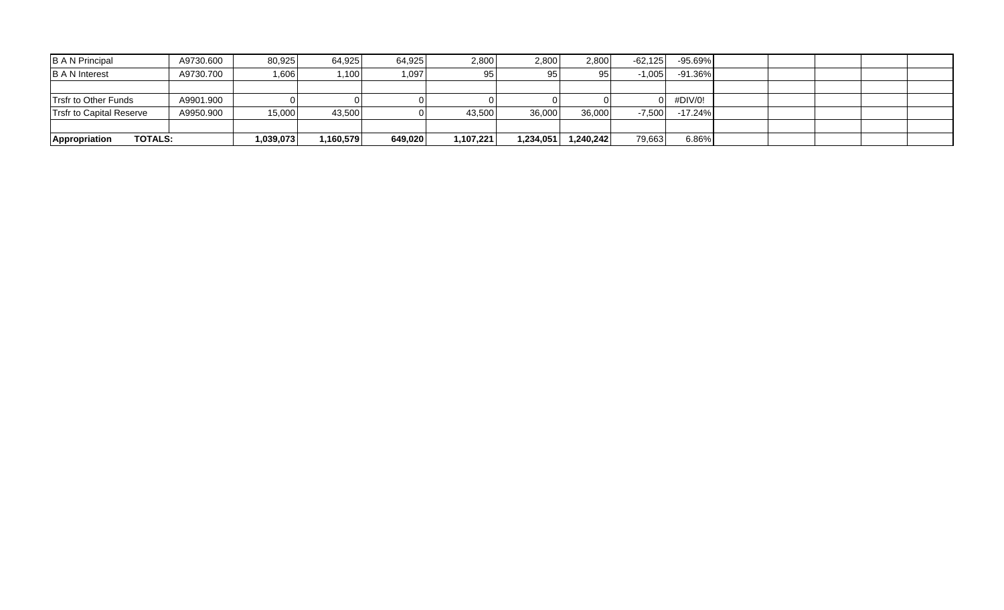| <b>B A N Principal</b>          | A9730.600      | 80,925   | 64,925    | 64,925  | 2,800     | 2,800     | 2,800    | $-62,125$ | $-95.69%$  |  |  |
|---------------------------------|----------------|----------|-----------|---------|-----------|-----------|----------|-----------|------------|--|--|
| <b>B A N Interest</b>           | A9730.700      | 1,606    | 1,100     | 1,097   | 95        | 95        | 95 I     | $-1,005$  | $-91.36\%$ |  |  |
|                                 |                |          |           |         |           |           |          |           |            |  |  |
| <b>ITrsfr to Other Funds</b>    | A9901.900      |          |           |         |           |           |          |           | #DIV/0!    |  |  |
| <b>Trsfr to Capital Reserve</b> | A9950.900      | 15,000   | 43,500    |         | 43,500    | 36,000    | 36,000   | $-7.500$  | $-17.24%$  |  |  |
|                                 |                |          |           |         |           |           |          |           |            |  |  |
| <b>Appropriation</b>            | <b>TOTALS:</b> | ,039,073 | 1,160,579 | 649,020 | 1,107,221 | 1,234,051 | 240,242, | 79,663    | 6.86%      |  |  |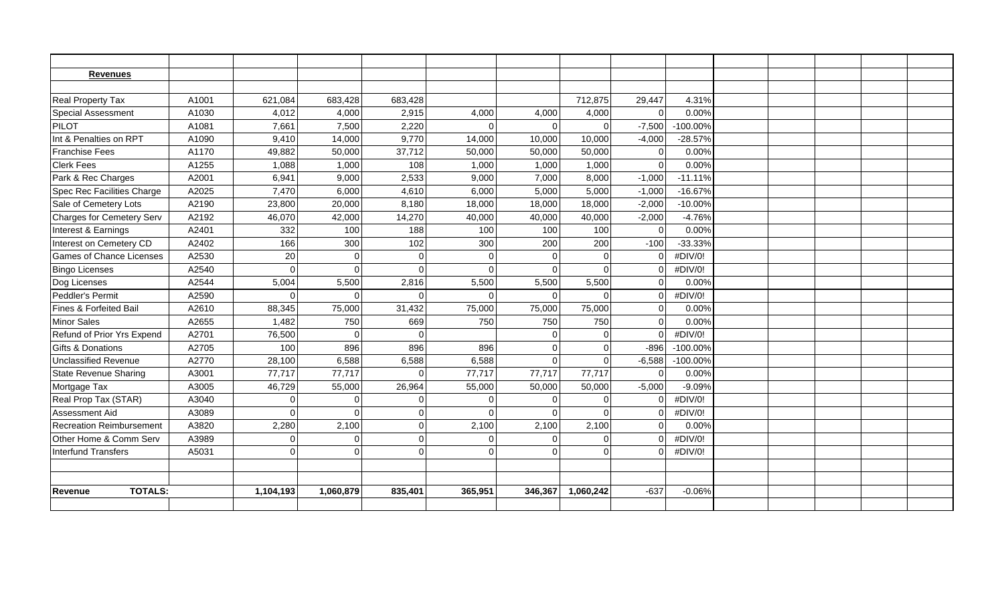| <b>Revenues</b>                  |       |                |           |                |                |          |           |                |             |  |  |  |
|----------------------------------|-------|----------------|-----------|----------------|----------------|----------|-----------|----------------|-------------|--|--|--|
|                                  |       |                |           |                |                |          |           |                |             |  |  |  |
| <b>Real Property Tax</b>         | A1001 | 621,084        | 683,428   | 683,428        |                |          | 712,875   | 29,447         | 4.31%       |  |  |  |
| <b>Special Assessment</b>        | A1030 | 4,012          | 4,000     | 2,915          | 4,000          | 4,000    | 4,000     | $\mathbf 0$    | 0.00%       |  |  |  |
| <b>PILOT</b>                     | A1081 | 7,661          | 7,500     | 2,220          | $\Omega$       | $\Omega$ | $\Omega$  | $-7,500$       | $-100.00\%$ |  |  |  |
| Int & Penalties on RPT           | A1090 | 9,410          | 14,000    | 9,770          | 14,000         | 10,000   | 10,000    | $-4,000$       | $-28.57%$   |  |  |  |
| <b>Franchise Fees</b>            | A1170 | 49,882         | 50,000    | 37,712         | 50,000         | 50,000   | 50,000    | $\Omega$       | 0.00%       |  |  |  |
| <b>Clerk Fees</b>                | A1255 | 1,088          | 1,000     | 108            | 1,000          | 1,000    | 1,000     | $\Omega$       | 0.00%       |  |  |  |
| Park & Rec Charges               | A2001 | 6,941          | 9,000     | 2,533          | 9,000          | 7,000    | 8,000     | $-1,000$       | $-11.11%$   |  |  |  |
| Spec Rec Facilities Charge       | A2025 | 7,470          | 6,000     | 4,610          | 6,000          | 5,000    | 5,000     | $-1,000$       | $-16.67%$   |  |  |  |
| Sale of Cemetery Lots            | A2190 | 23,800         | 20,000    | 8,180          | 18,000         | 18,000   | 18,000    | $-2,000$       | $-10.00%$   |  |  |  |
| <b>Charges for Cemetery Serv</b> | A2192 | 46,070         | 42,000    | 14,270         | 40,000         | 40,000   | 40,000    | $-2,000$       | $-4.76%$    |  |  |  |
| Interest & Earnings              | A2401 | 332            | 100       | 188            | 100            | 100      | 100       | $\Omega$       | 0.00%       |  |  |  |
| Interest on Cemetery CD          | A2402 | 166            | 300       | 102            | 300            | 200      | 200       | $-100$         | $-33.33%$   |  |  |  |
| <b>Games of Chance Licenses</b>  | A2530 | 20             | $\Omega$  | $\Omega$       | $\mathbf 0$    | $\Omega$ | 0         | $\Omega$       | #DIV/0!     |  |  |  |
| <b>Bingo Licenses</b>            | A2540 | $\overline{0}$ | $\Omega$  | $\Omega$       | $\Omega$       | $\Omega$ | $\Omega$  | $\Omega$       | #DIV/0!     |  |  |  |
| Dog Licenses                     | A2544 | 5,004          | 5,500     | 2,816          | 5,500          | 5,500    | 5,500     | $\Omega$       | 0.00%       |  |  |  |
| Peddler's Permit                 | A2590 | $\Omega$       | O         | $\Omega$       | $\Omega$       | $\Omega$ | $\Omega$  | $\Omega$       | #DIV/0!     |  |  |  |
| Fines & Forfeited Bail           | A2610 | 88,345         | 75,000    | 31,432         | 75,000         | 75,000   | 75,000    | $\mathbf 0$    | 0.00%       |  |  |  |
| <b>Minor Sales</b>               | A2655 | 1,482          | 750       | 669            | 750            | 750      | 750       | $\mathbf 0$    | 0.00%       |  |  |  |
| Refund of Prior Yrs Expend       | A2701 | 76,500         | 0         | $\Omega$       |                | $\Omega$ | 0         | $\mathbf 0$    | #DIV/0!     |  |  |  |
| Gifts & Donations                | A2705 | 100            | 896       | 896            | 896            | $\Omega$ | $\Omega$  | $-896$         | $-100.00\%$ |  |  |  |
| <b>Unclassified Revenue</b>      | A2770 | 28,100         | 6,588     | 6,588          | 6,588          | $\Omega$ | $\Omega$  | $-6,588$       | $-100.00\%$ |  |  |  |
| <b>State Revenue Sharing</b>     | A3001 | 77,717         | 77,717    | $\Omega$       | 77,717         | 77,717   | 77,717    | $\Omega$       | 0.00%       |  |  |  |
| Mortgage Tax                     | A3005 | 46,729         | 55,000    | 26,964         | 55,000         | 50,000   | 50,000    | $-5,000$       | $-9.09%$    |  |  |  |
| Real Prop Tax (STAR)             | A3040 | $\mathbf 0$    | 0         | $\Omega$       | $\overline{0}$ | $\Omega$ | Οl        | $\overline{0}$ | #DIV/0!     |  |  |  |
| Assessment Aid                   | A3089 | $\overline{0}$ | $\Omega$  | $\overline{0}$ | $\Omega$       | $\Omega$ | $\Omega$  | $\mathbf 0$    | #DIV/0!     |  |  |  |
| <b>Recreation Reimbursement</b>  | A3820 | 2,280          | 2,100     | $\Omega$       | 2,100          | 2,100    | 2,100     | $\overline{0}$ | 0.00%       |  |  |  |
| Other Home & Comm Serv           | A3989 | $\mathbf 0$    | $\Omega$  | $\Omega$       | $\overline{0}$ | $\Omega$ | $\Omega$  | $\Omega$       | #DIV/0!     |  |  |  |
| <b>Interfund Transfers</b>       | A5031 | $\Omega$       | $\Omega$  | $\Omega$       | $\Omega$       | $\Omega$ | $\Omega$  | $\Omega$       | #DIV/0!     |  |  |  |
|                                  |       |                |           |                |                |          |           |                |             |  |  |  |
|                                  |       |                |           |                |                |          |           |                |             |  |  |  |
| <b>TOTALS:</b><br><b>Revenue</b> |       | 1,104,193      | 1,060,879 | 835,401        | 365,951        | 346,367  | 1,060,242 | $-637$         | $-0.06%$    |  |  |  |
|                                  |       |                |           |                |                |          |           |                |             |  |  |  |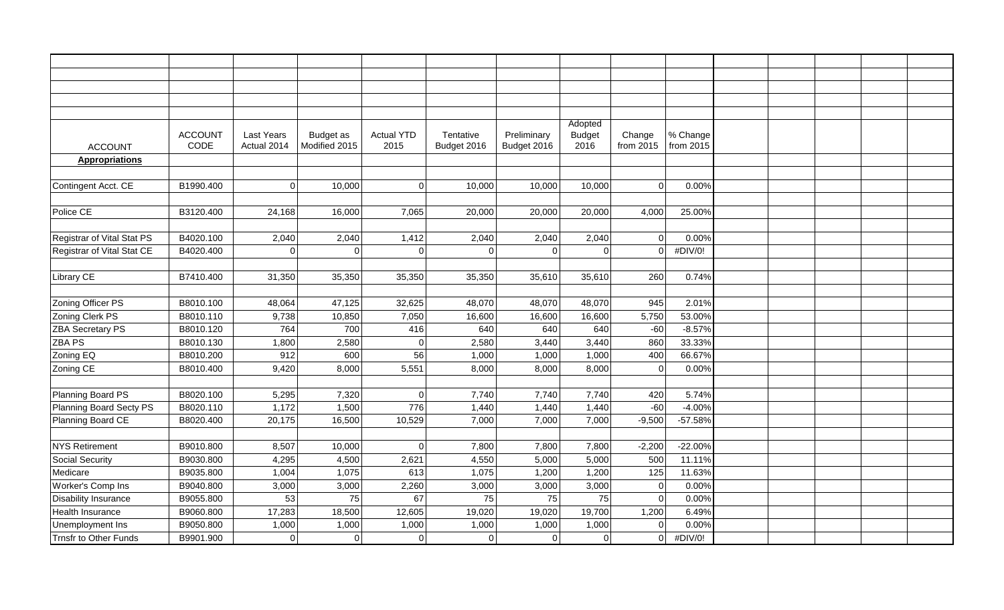|                             |                |                   |               |                   |                |             | Adopted       |                |           |  |  |
|-----------------------------|----------------|-------------------|---------------|-------------------|----------------|-------------|---------------|----------------|-----------|--|--|
|                             | <b>ACCOUNT</b> | <b>Last Years</b> | Budget as     | <b>Actual YTD</b> | Tentative      | Preliminary | <b>Budget</b> | Change         | % Change  |  |  |
| <b>ACCOUNT</b>              | CODE           | Actual 2014       | Modified 2015 | 2015              | Budget 2016    | Budget 2016 | 2016          | from 2015      | from 2015 |  |  |
| <b>Appropriations</b>       |                |                   |               |                   |                |             |               |                |           |  |  |
|                             |                |                   |               |                   |                |             |               |                |           |  |  |
| Contingent Acct. CE         | B1990.400      | $\Omega$          | 10,000        | $\mathbf 0$       | 10,000         | 10,000      | 10,000        | $\Omega$       | 0.00%     |  |  |
|                             |                |                   |               |                   |                |             |               |                |           |  |  |
| Police CE                   | B3120.400      | 24,168            | 16,000        | 7,065             | 20,000         | 20,000      | 20,000        | 4,000          | 25.00%    |  |  |
|                             |                |                   |               |                   |                |             |               |                |           |  |  |
| Registrar of Vital Stat PS  | B4020.100      | 2,040             | 2,040         | 1,412             | 2,040          | 2,040       | 2,040         | $\mathbf 0$    | 0.00%     |  |  |
| Registrar of Vital Stat CE  | B4020.400      | $\Omega$          | $\Omega$      | $\Omega$          | $\overline{0}$ | $\Omega$    | 0             | $\overline{0}$ | #DIV/0!   |  |  |
|                             |                |                   |               |                   |                |             |               |                |           |  |  |
| Library CE                  | B7410.400      | 31,350            | 35,350        | 35,350            | 35,350         | 35,610      | 35,610        | 260            | 0.74%     |  |  |
|                             |                |                   |               |                   |                |             |               |                |           |  |  |
| Zoning Officer PS           | B8010.100      | 48,064            | 47,125        | 32,625            | 48,070         | 48,070      | 48,070        | 945            | 2.01%     |  |  |
| Zoning Clerk PS             | B8010.110      | 9,738             | 10,850        | 7,050             | 16,600         | 16,600      | 16,600        | 5,750          | 53.00%    |  |  |
| <b>ZBA Secretary PS</b>     | B8010.120      | 764               | 700           | 416               | 640            | 640         | 640           | $-60$          | $-8.57%$  |  |  |
| ZBA PS                      | B8010.130      | 1,800             | 2,580         | 0                 | 2,580          | 3,440       | 3,440         | 860            | 33.33%    |  |  |
| Zoning EQ                   | B8010.200      | 912               | 600           | 56                | 1,000          | 1,000       | 1,000         | 400            | 66.67%    |  |  |
| Zoning CE                   | B8010.400      | 9,420             | 8,000         | 5,551             | 8,000          | 8,000       | 8,000         | $\mathbf 0$    | 0.00%     |  |  |
|                             |                |                   |               |                   |                |             |               |                |           |  |  |
| Planning Board PS           | B8020.100      | 5,295             | 7,320         | 0                 | 7,740          | 7,740       | 7,740         | 420            | 5.74%     |  |  |
| Planning Board Secty PS     | B8020.110      | 1,172             | 1,500         | 776               | 1,440          | 1,440       | 1,440         | $-60$          | $-4.00%$  |  |  |
| Planning Board CE           | B8020.400      | 20,175            | 16,500        | 10,529            | 7,000          | 7,000       | 7,000         | $-9,500$       | $-57.58%$ |  |  |
|                             |                |                   |               |                   |                |             |               |                |           |  |  |
| <b>NYS Retirement</b>       | B9010.800      | 8,507             | 10,000        | 0                 | 7,800          | 7,800       | 7,800         | $-2,200$       | $-22.00%$ |  |  |
| Social Security             | B9030.800      | 4,295             | 4,500         | 2,621             | 4,550          | 5,000       | 5,000         | 500            | 11.11%    |  |  |
| Medicare                    | B9035.800      | 1,004             | 1,075         | 613               | 1,075          | 1,200       | 1,200         | 125            | 11.63%    |  |  |
| Worker's Comp Ins           | B9040.800      | 3,000             | 3,000         | 2,260             | 3,000          | 3,000       | 3,000         | $\overline{0}$ | 0.00%     |  |  |
| <b>Disability Insurance</b> | B9055.800      | 53                | 75            | 67                | 75             | 75          | 75            | $\mathbf 0$    | 0.00%     |  |  |
| Health Insurance            | B9060.800      | 17,283            | 18,500        | 12,605            | 19,020         | 19,020      | 19,700        | 1,200          | 6.49%     |  |  |
| Unemployment Ins            | B9050.800      | 1,000             | 1,000         | 1,000             | 1,000          | 1,000       | 1,000         | $\overline{0}$ | 0.00%     |  |  |
| Trnsfr to Other Funds       | B9901.900      | $\Omega$          | $\Omega$      | $\Omega$          | $\Omega$       | $\Omega$    | $\Omega$      | 0              | #DIV/0!   |  |  |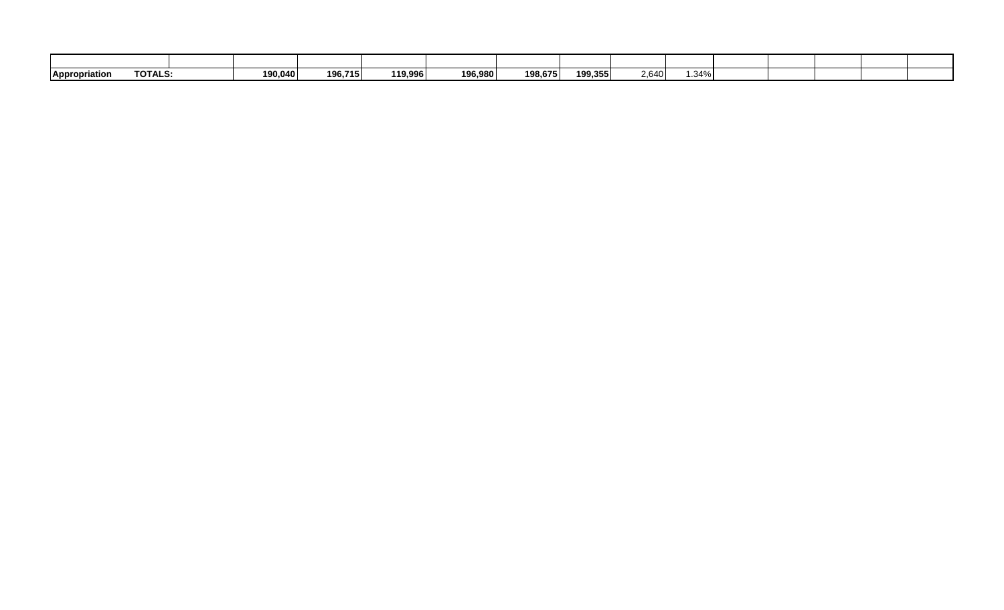| <b>Appropriation</b> | TOTALS. | 190.040 | 196.715 | 119.996 | 196.980 | 198.675 | 199,355 | ا640؛ | 1.34% |  |  |
|----------------------|---------|---------|---------|---------|---------|---------|---------|-------|-------|--|--|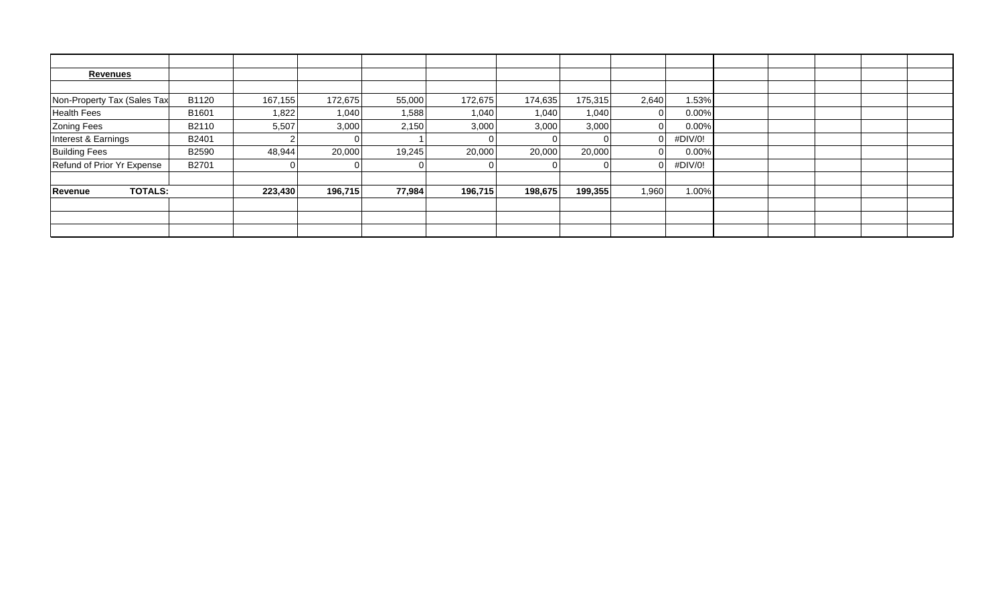| <b>Revenues</b>             |       |         |         |          |                |         |         |          |          |  |  |
|-----------------------------|-------|---------|---------|----------|----------------|---------|---------|----------|----------|--|--|
|                             |       |         |         |          |                |         |         |          |          |  |  |
| Non-Property Tax (Sales Tax | B1120 | 167,155 | 172,675 | 55,000   | 172,675        | 174,635 | 175,315 | 2,640    | 1.53%    |  |  |
| <b>Health Fees</b>          | B1601 | 1,822   | 1,040   | 1,588    | 1,040          | 1,040   | 1,040   | $\Omega$ | $0.00\%$ |  |  |
| <b>Zoning Fees</b>          | B2110 | 5,507   | 3,000   | 2,150    | 3,000          | 3,000   | 3,000   | 0        | $0.00\%$ |  |  |
| Interest & Earnings         | B2401 |         |         |          |                |         |         | $\Omega$ | #DIV/0!  |  |  |
| <b>Building Fees</b>        | B2590 | 48,944  | 20,000  | 19,245   | 20,000         | 20,000  | 20,000  | $\Omega$ | $0.00\%$ |  |  |
| Refund of Prior Yr Expense  | B2701 | O.      |         | $\Omega$ | $\overline{0}$ |         | 0       | $\Omega$ | #DIV/0!  |  |  |
|                             |       |         |         |          |                |         |         |          |          |  |  |
| <b>TOTALS:</b><br>Revenue   |       | 223,430 | 196,715 | 77,984   | 196,715        | 198,675 | 199,355 | 1,960    | 1.00%    |  |  |
|                             |       |         |         |          |                |         |         |          |          |  |  |
|                             |       |         |         |          |                |         |         |          |          |  |  |
|                             |       |         |         |          |                |         |         |          |          |  |  |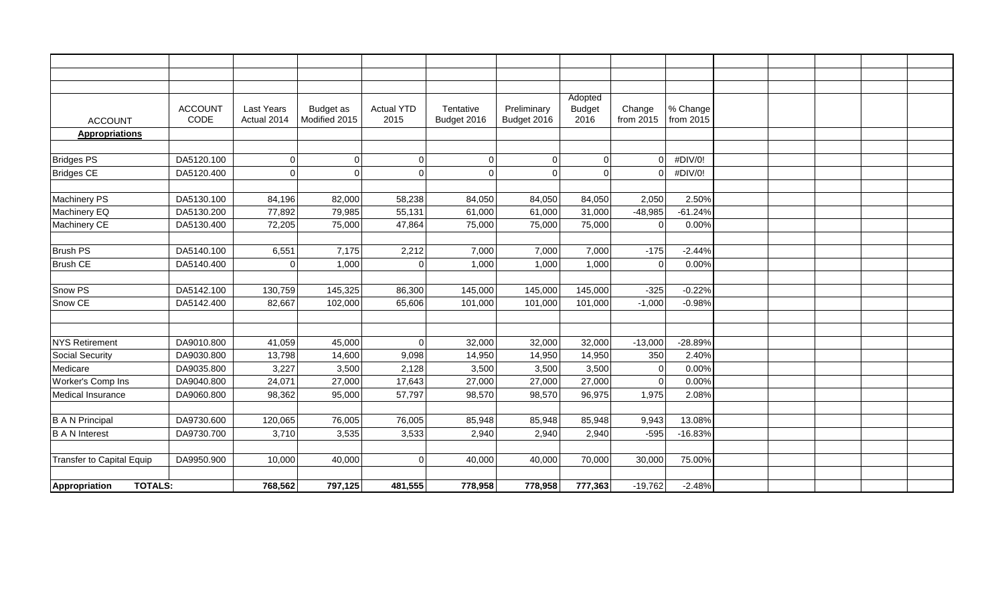|                                 |                |                   |                |                   |             |             | Adopted       |              |           |  |  |
|---------------------------------|----------------|-------------------|----------------|-------------------|-------------|-------------|---------------|--------------|-----------|--|--|
|                                 | <b>ACCOUNT</b> | <b>Last Years</b> | Budget as      | <b>Actual YTD</b> | Tentative   | Preliminary | <b>Budget</b> | Change       | % Change  |  |  |
| <b>ACCOUNT</b>                  | CODE           | Actual 2014       | Modified 2015  | 2015              | Budget 2016 | Budget 2016 | 2016          | from 2015    | from 2015 |  |  |
| <b>Appropriations</b>           |                |                   |                |                   |             |             |               |              |           |  |  |
|                                 |                |                   |                |                   |             |             |               |              |           |  |  |
| <b>Bridges PS</b>               | DA5120.100     | 0                 | $\overline{0}$ | $\Omega$          | $\mathbf 0$ | $\Omega$    | 0             | $\Omega$     | #DIV/0!   |  |  |
| <b>Bridges CE</b>               | DA5120.400     | $\Omega$          | $\Omega$       | $\Omega$          | $\Omega$    | $\Omega$    | $\Omega$      | $\Omega$     | #DIV/0!   |  |  |
| <b>Machinery PS</b>             | DA5130.100     | 84,196            | 82,000         | 58,238            | 84,050      | 84,050      | 84,050        | 2,050        | 2.50%     |  |  |
| Machinery EQ                    | DA5130.200     | 77,892            | 79,985         | 55,131            | 61,000      | 61,000      | 31,000        | $-48,985$    | $-61.24%$ |  |  |
| Machinery CE                    | DA5130.400     | 72,205            | 75,000         | 47,864            | 75,000      | 75,000      | 75,000        | $\Omega$     | 0.00%     |  |  |
|                                 |                |                   |                |                   |             |             |               |              |           |  |  |
| <b>Brush PS</b>                 | DA5140.100     | 6,551             | 7,175          | 2,212             | 7,000       | 7,000       | 7,000         | $-175$       | $-2.44%$  |  |  |
| <b>Brush CE</b>                 | DA5140.400     | 0                 | 1,000          | 0                 | 1,000       | 1,000       | 1,000         | $\mathbf 0$  | 0.00%     |  |  |
|                                 |                |                   |                |                   |             |             |               |              |           |  |  |
| Snow PS                         | DA5142.100     | 130,759           | 145,325        | 86,300            | 145,000     | 145,000     | 145,000       | $-325$       | $-0.22%$  |  |  |
| Snow CE                         | DA5142.400     | 82,667            | 102,000        | 65,606            | 101,000     | 101,000     | 101,000       | $-1,000$     | $-0.98%$  |  |  |
|                                 |                |                   |                |                   |             |             |               |              |           |  |  |
|                                 |                |                   |                |                   |             |             |               |              |           |  |  |
| <b>NYS Retirement</b>           | DA9010.800     | 41,059            | 45,000         | $\Omega$          | 32,000      | 32,000      | 32,000        | $-13,000$    | $-28.89%$ |  |  |
| Social Security                 | DA9030.800     | 13,798            | 14,600         | 9,098             | 14,950      | 14,950      | 14,950        | 350          | 2.40%     |  |  |
| Medicare                        | DA9035.800     | 3,227             | 3,500          | 2,128             | 3,500       | 3,500       | 3,500         | $\mathbf{0}$ | 0.00%     |  |  |
| Worker's Comp Ins               | DA9040.800     | 24,071            | 27,000         | 17,643            | 27,000      | 27,000      | 27,000        | $\mathbf 0$  | 0.00%     |  |  |
| <b>Medical Insurance</b>        | DA9060.800     | 98,362            | 95,000         | 57,797            | 98,570      | 98,570      | 96,975        | 1,975        | 2.08%     |  |  |
|                                 |                |                   |                |                   |             |             |               |              |           |  |  |
| <b>B A N Principal</b>          | DA9730.600     | 120,065           | 76,005         | 76,005            | 85,948      | 85,948      | 85,948        | 9,943        | 13.08%    |  |  |
| <b>B A N Interest</b>           | DA9730.700     | 3,710             | 3,535          | 3,533             | 2,940       | 2,940       | 2,940         | $-595$       | $-16.83%$ |  |  |
|                                 |                |                   |                |                   |             |             |               |              |           |  |  |
| Transfer to Capital Equip       | DA9950.900     | 10,000            | 40,000         | $\Omega$          | 40,000      | 40,000      | 70,000        | 30,000       | 75.00%    |  |  |
|                                 |                |                   |                |                   |             |             |               |              |           |  |  |
| <b>TOTALS:</b><br>Appropriation |                | 768,562           | 797,125        | 481,555           | 778,958     | 778,958     | 777,363       | $-19,762$    | $-2.48%$  |  |  |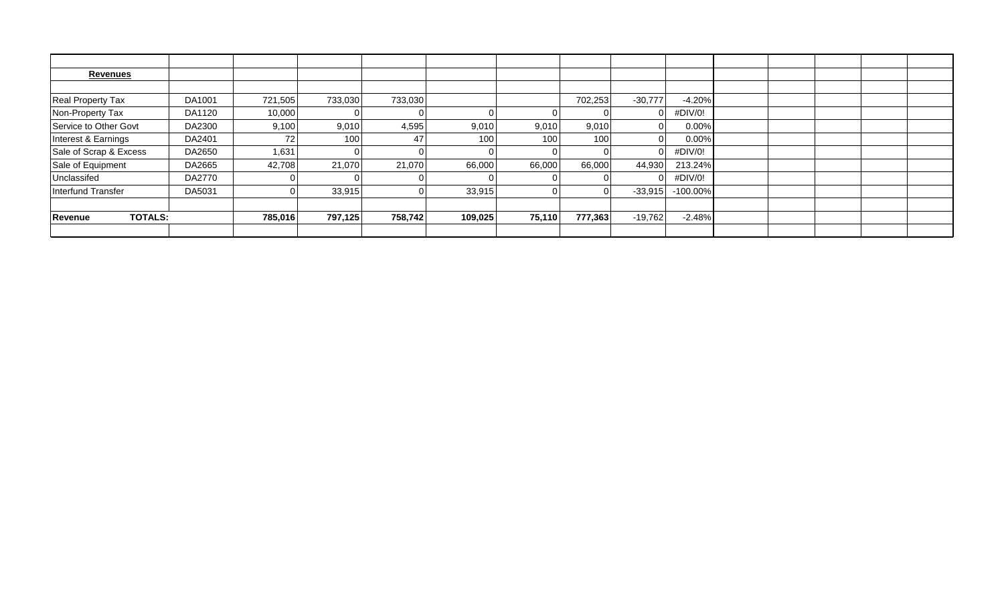| <b>Revenues</b>           |        |         |         |         |         |        |                  |           |             |  |  |
|---------------------------|--------|---------|---------|---------|---------|--------|------------------|-----------|-------------|--|--|
|                           |        |         |         |         |         |        |                  |           |             |  |  |
| <b>Real Property Tax</b>  | DA1001 | 721,505 | 733,030 | 733,030 |         |        | 702,253          | $-30,777$ | $-4.20\%$   |  |  |
| Non-Property Tax          | DA1120 | 10,000  |         |         |         |        |                  | $\Omega$  | #DIV/0!     |  |  |
| Service to Other Govt     | DA2300 | 9,100   | 9,010   | 4,595   | 9,010   | 9,010  | 9,010            | 01        | $0.00\%$    |  |  |
| Interest & Earnings       | DA2401 | 72      | 100     | 47      | 100     | 100    | 100 <sup>1</sup> | $\Omega$  | 0.00%       |  |  |
| Sale of Scrap & Excess    | DA2650 | 1,631   |         |         |         |        |                  | $\Omega$  | #DIV/0!     |  |  |
| Sale of Equipment         | DA2665 | 42,708  | 21,070  | 21,070  | 66,000  | 66,000 | 66,000           | 44,930    | 213.24%     |  |  |
| Unclassifed               | DA2770 |         |         |         |         |        |                  | $\Omega$  | #DIV/0!     |  |  |
| Interfund Transfer        | DA5031 |         | 33,915  |         | 33,915  |        | $\Omega$         | $-33,915$ | $-100.00\%$ |  |  |
|                           |        |         |         |         |         |        |                  |           |             |  |  |
| <b>TOTALS:</b><br>Revenue |        | 785,016 | 797,125 | 758,742 | 109,025 | 75,110 | 777,363          | $-19,762$ | $-2.48%$    |  |  |
|                           |        |         |         |         |         |        |                  |           |             |  |  |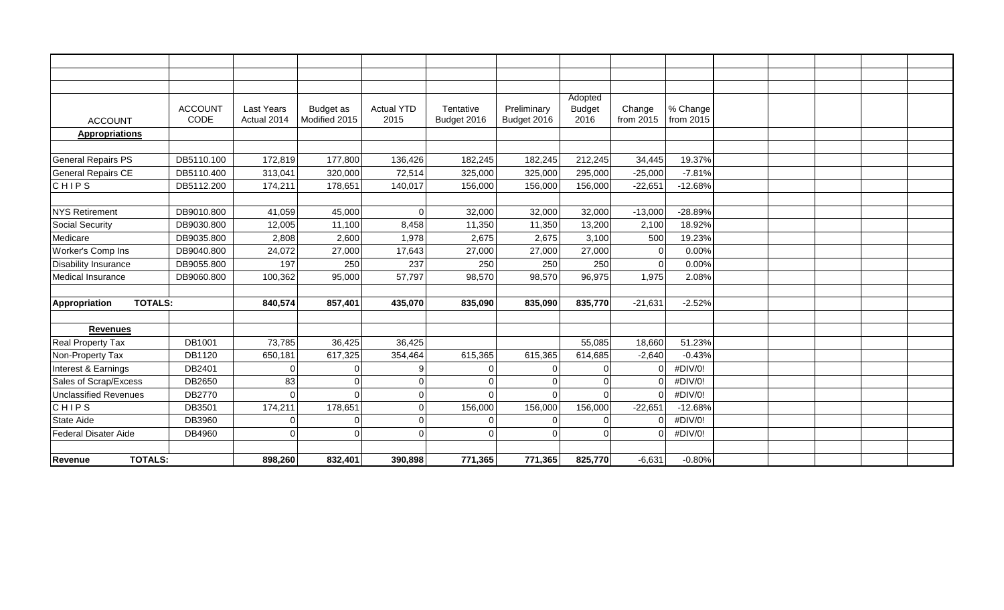|                                        |                |             |               |                   |             |             | Adopted       |             |           |  |  |
|----------------------------------------|----------------|-------------|---------------|-------------------|-------------|-------------|---------------|-------------|-----------|--|--|
|                                        | <b>ACCOUNT</b> | Last Years  | Budget as     | <b>Actual YTD</b> | Tentative   | Preliminary | <b>Budget</b> | Change      | % Change  |  |  |
| <b>ACCOUNT</b>                         | CODE           | Actual 2014 | Modified 2015 | 2015              | Budget 2016 | Budget 2016 | 2016          | from 2015   | from 2015 |  |  |
| <b>Appropriations</b>                  |                |             |               |                   |             |             |               |             |           |  |  |
|                                        |                |             |               |                   |             |             |               |             |           |  |  |
| <b>General Repairs PS</b>              | DB5110.100     | 172,819     | 177,800       | 136,426           | 182,245     | 182,245     | 212,245       | 34,445      | 19.37%    |  |  |
| <b>General Repairs CE</b>              | DB5110.400     | 313,041     | 320,000       | 72,514            | 325,000     | 325,000     | 295,000       | $-25,000$   | $-7.81%$  |  |  |
| <b>CHIPS</b>                           | DB5112.200     | 174,211     | 178,651       | 140,017           | 156,000     | 156,000     | 156,000       | $-22,651$   | $-12.68%$ |  |  |
|                                        |                |             |               |                   |             |             |               |             |           |  |  |
| <b>NYS Retirement</b>                  | DB9010.800     | 41,059      | 45,000        | $\Omega$          | 32,000      | 32,000      | 32,000        | $-13,000$   | -28.89%   |  |  |
| Social Security                        | DB9030.800     | 12,005      | 11,100        | 8,458             | 11,350      | 11,350      | 13,200        | 2,100       | 18.92%    |  |  |
| Medicare                               | DB9035.800     | 2,808       | 2,600         | 1,978             | 2,675       | 2,675       | 3,100         | 500         | 19.23%    |  |  |
| Worker's Comp Ins                      | DB9040.800     | 24,072      | 27,000        | 17,643            | 27,000      | 27,000      | 27,000        | $\mathbf 0$ | 0.00%     |  |  |
| <b>Disability Insurance</b>            | DB9055.800     | 197         | 250           | 237               | 250         | 250         | 250           | $\Omega$    | 0.00%     |  |  |
| <b>Medical Insurance</b>               | DB9060.800     | 100,362     | 95,000        | 57,797            | 98,570      | 98,570      | 96,975        | 1,975       | 2.08%     |  |  |
|                                        |                |             |               |                   |             |             |               |             |           |  |  |
| <b>TOTALS:</b><br><b>Appropriation</b> |                | 840,574     | 857,401       | 435,070           | 835,090     | 835,090     | 835,770       | $-21,631$   | $-2.52%$  |  |  |
|                                        |                |             |               |                   |             |             |               |             |           |  |  |
| <b>Revenues</b>                        |                |             |               |                   |             |             |               |             |           |  |  |
| <b>Real Property Tax</b>               | DB1001         | 73,785      | 36,425        | 36,425            |             |             | 55,085        | 18,660      | 51.23%    |  |  |
| Non-Property Tax                       | DB1120         | 650,181     | 617,325       | 354,464           | 615,365     | 615,365     | 614,685       | $-2,640$    | $-0.43%$  |  |  |
| Interest & Earnings                    | DB2401         | $\Omega$    | 0             |                   | 0           |             | 0             | 0           | #DIV/0!   |  |  |
| Sales of Scrap/Excess                  | DB2650         | 83          | 0             | $\Omega$          | $\mathbf 0$ | $\Omega$    | $\mathbf 0$   | $\Omega$    | #DIV/0!   |  |  |
| <b>Unclassified Revenues</b>           | DB2770         | $\Omega$    | $\Omega$      | 0                 | $\Omega$    | $\Omega$    | $\Omega$      | $\Omega$    | #DIV/0!   |  |  |
| <b>CHIPS</b>                           | DB3501         | 174,211     | 178,651       | $\Omega$          | 156,000     | 156,000     | 156,000       | $-22,651$   | $-12.68%$ |  |  |
| <b>State Aide</b>                      | DB3960         | $\mathbf 0$ | $\Omega$      | $\Omega$          | $\mathbf 0$ | $\Omega$    | 0             | $\Omega$    | #DIV/0!   |  |  |
| <b>Federal Disater Aide</b>            | DB4960         | $\Omega$    | $\Omega$      | $\Omega$          | $\Omega$    | $\Omega$    | $\Omega$      | $\Omega$    | #DIV/0!   |  |  |
|                                        |                |             |               |                   |             |             |               |             |           |  |  |
| <b>TOTALS:</b><br><b>Revenue</b>       |                | 898,260     | 832,401       | 390,898           | 771,365     | 771,365     | 825,770       | $-6,631$    | $-0.80%$  |  |  |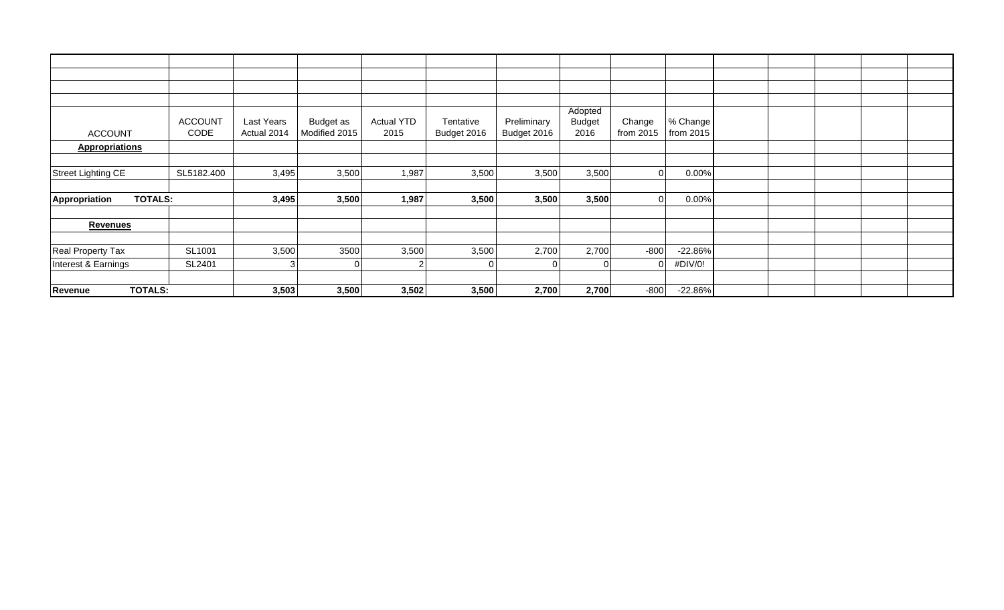| <b>ACCOUNT</b>                   | <b>ACCOUNT</b><br>CODE | Last Years<br>Actual 2014 | Budget as<br>Modified 2015 | <b>Actual YTD</b><br>2015 | Tentative<br>Budget 2016 | Preliminary<br>Budget 2016 | Adopted<br><b>Budget</b><br>2016 | Change<br>from 2015 | % Change<br>from 2015 |  |  |
|----------------------------------|------------------------|---------------------------|----------------------------|---------------------------|--------------------------|----------------------------|----------------------------------|---------------------|-----------------------|--|--|
| <b>Appropriations</b>            |                        |                           |                            |                           |                          |                            |                                  |                     |                       |  |  |
|                                  |                        |                           |                            |                           |                          |                            |                                  |                     |                       |  |  |
| <b>Street Lighting CE</b>        | SL5182.400             | 3,495                     | 3,500                      | 1,987                     | 3,500                    | 3,500                      | 3,500                            | $\overline{0}$      | 0.00%                 |  |  |
|                                  |                        |                           |                            |                           |                          |                            |                                  |                     |                       |  |  |
| <b>TOTALS:</b><br>Appropriation  |                        | 3,495                     | 3,500                      | 1,987                     | 3,500                    | 3,500                      | 3,500                            | $\Omega$            | 0.00%                 |  |  |
|                                  |                        |                           |                            |                           |                          |                            |                                  |                     |                       |  |  |
| <b>Revenues</b>                  |                        |                           |                            |                           |                          |                            |                                  |                     |                       |  |  |
|                                  |                        |                           |                            |                           |                          |                            |                                  |                     |                       |  |  |
| Real Property Tax                | SL1001                 | 3,500                     | 3500                       | 3,500                     | 3,500                    | 2,700                      | 2,700                            | $-800$              | $-22.86%$             |  |  |
| Interest & Earnings              | SL2401                 | 3                         |                            | 2                         | U                        |                            |                                  | 0                   | #DIV/0!               |  |  |
|                                  |                        |                           |                            |                           |                          |                            |                                  |                     |                       |  |  |
| <b>TOTALS:</b><br><b>Revenue</b> |                        | 3,503                     | 3,500                      | 3,502                     | 3,500                    | 2,700                      | 2,700                            | $-800$              | $-22.86%$             |  |  |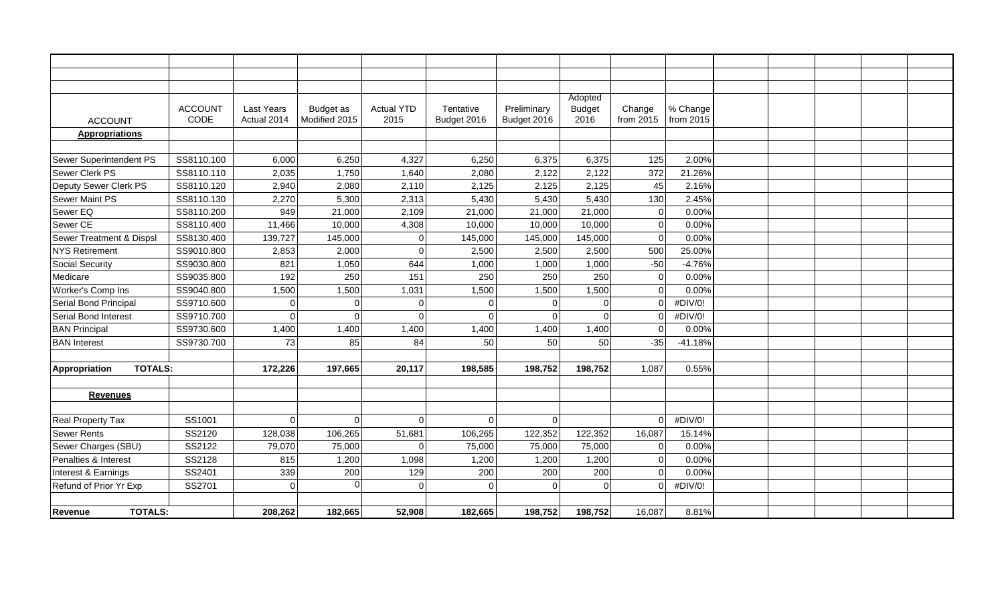| <b>ACCOUNT</b>                   | <b>ACCOUNT</b><br>CODE | <b>Last Years</b><br>Actual 2014 | <b>Budget</b> as<br>Modified 2015 | <b>Actual YTD</b><br>2015 | Tentative<br>Budget 2016 | Preliminary<br>Budget 2016 | Adopted<br><b>Budget</b><br>2016 | Change<br>from 2015 | % Change<br>from 2015 |  |  |
|----------------------------------|------------------------|----------------------------------|-----------------------------------|---------------------------|--------------------------|----------------------------|----------------------------------|---------------------|-----------------------|--|--|
| <b>Appropriations</b>            |                        |                                  |                                   |                           |                          |                            |                                  |                     |                       |  |  |
|                                  |                        |                                  |                                   |                           |                          |                            |                                  |                     |                       |  |  |
| Sewer Superintendent PS          | SS8110.100             | 6,000                            | 6,250                             | 4,327                     | 6,250                    | 6,375                      | 6,375                            | 125                 | 2.00%                 |  |  |
| Sewer Clerk PS                   | SS8110.110             | 2,035                            | 1,750                             | 1,640                     | 2,080                    | 2,122                      | 2,122                            | 372                 | 21.26%                |  |  |
| Deputy Sewer Clerk PS            | SS8110.120             | 2,940                            | 2,080                             | 2,110                     | 2,125                    | 2,125                      | 2,125                            | 45                  | 2.16%                 |  |  |
| <b>Sewer Maint PS</b>            | SS8110.130             | 2,270                            | 5,300                             | 2,313                     | 5,430                    | 5,430                      | 5,430                            | 130                 | 2.45%                 |  |  |
| Sewer EQ                         | SS8110.200             | 949                              | 21,000                            | 2,109                     | 21,000                   | 21,000                     | 21,000                           | $\overline{0}$      | 0.00%                 |  |  |
| Sewer CE                         | SS8110.400             | 11,466                           | 10,000                            | 4,308                     | 10,000                   | 10,000                     | 10,000                           | $\mathsf{O}\xspace$ | 0.00%                 |  |  |
| Sewer Treatment & Dispsl         | SS8130.400             | 139,727                          | 145,000                           | 0                         | 145,000                  | 145,000                    | 145,000                          | $\mathbf 0$         | 0.00%                 |  |  |
| <b>NYS Retirement</b>            | SS9010.800             | 2,853                            | 2,000                             | $\Omega$                  | 2,500                    | 2,500                      | 2,500                            | 500                 | 25.00%                |  |  |
| Social Security                  | SS9030.800             | 821                              | 1,050                             | 644                       | 1,000                    | 1,000                      | 1,000                            | $-50$               | $-4.76%$              |  |  |
| Medicare                         | SS9035.800             | 192                              | 250                               | 151                       | 250                      | 250                        | 250                              | $\mathbf 0$         | 0.00%                 |  |  |
| Worker's Comp Ins                | SS9040.800             | 1,500                            | 1,500                             | 1,031                     | 1,500                    | 1,500                      | 1,500                            | $\overline{0}$      | 0.00%                 |  |  |
| Serial Bond Principal            | SS9710.600             | $\mathbf 0$                      | $\Omega$                          | $\Omega$                  | $\Omega$                 | $\Omega$                   | $\Omega$                         | $\Omega$            | #DIV/0!               |  |  |
| Serial Bond Interest             | SS9710.700             | $\mathbf 0$                      | $\Omega$                          | $\Omega$                  | $\Omega$                 | $\Omega$                   | Οl                               | $\overline{0}$      | #DIV/0!               |  |  |
| <b>BAN Principal</b>             | SS9730.600             | 1,400                            | 1,400                             | 1,400                     | 1,400                    | 1,400                      | 1,400                            | $\Omega$            | 0.00%                 |  |  |
| <b>BAN</b> Interest              | SS9730.700             | 73                               | 85                                | 84                        | 50                       | 50                         | 50                               | $-35$               | $-41.18%$             |  |  |
|                                  |                        |                                  |                                   |                           |                          |                            |                                  |                     |                       |  |  |
| <b>TOTALS:</b><br>Appropriation  |                        | 172,226                          | 197,665                           | 20,117                    | 198,585                  | 198,752                    | 198,752                          | 1,087               | 0.55%                 |  |  |
|                                  |                        |                                  |                                   |                           |                          |                            |                                  |                     |                       |  |  |
| <b>Revenues</b>                  |                        |                                  |                                   |                           |                          |                            |                                  |                     |                       |  |  |
|                                  |                        |                                  |                                   |                           |                          |                            |                                  |                     |                       |  |  |
| <b>Real Property Tax</b>         | SS1001                 | $\mathbf 0$                      | $\Omega$                          | $\Omega$                  | $\mathbf 0$              | $\Omega$                   |                                  | $\Omega$            | #DIV/0!               |  |  |
| <b>Sewer Rents</b>               | SS2120                 | 128,038                          | 106,265                           | 51,681                    | 106,265                  | 122,352                    | 122,352                          | 16,087              | 15.14%                |  |  |
| Sewer Charges (SBU)              | SS2122                 | 79,070                           | 75,000                            | $\Omega$                  | 75,000                   | 75,000                     | 75,000                           | $\overline{0}$      | 0.00%                 |  |  |
| Penalties & Interest             | SS2128                 | 815                              | 1,200                             | 1,098                     | 1,200                    | 1,200                      | 1,200                            | $\overline{0}$      | 0.00%                 |  |  |
| Interest & Earnings              | SS2401                 | 339                              | 200                               | 129                       | 200                      | 200                        | 200                              | $\Omega$            | 0.00%                 |  |  |
| Refund of Prior Yr Exp           | SS2701                 | $\mathbf 0$                      | $\Omega$                          | $\Omega$                  | $\Omega$                 | $\Omega$                   | $\Omega$                         | $\Omega$            | #DIV/0!               |  |  |
| <b>TOTALS:</b><br><b>Revenue</b> |                        | 208,262                          | 182,665                           | 52,908                    | 182,665                  | 198,752                    | 198,752                          | 16,087              | 8.81%                 |  |  |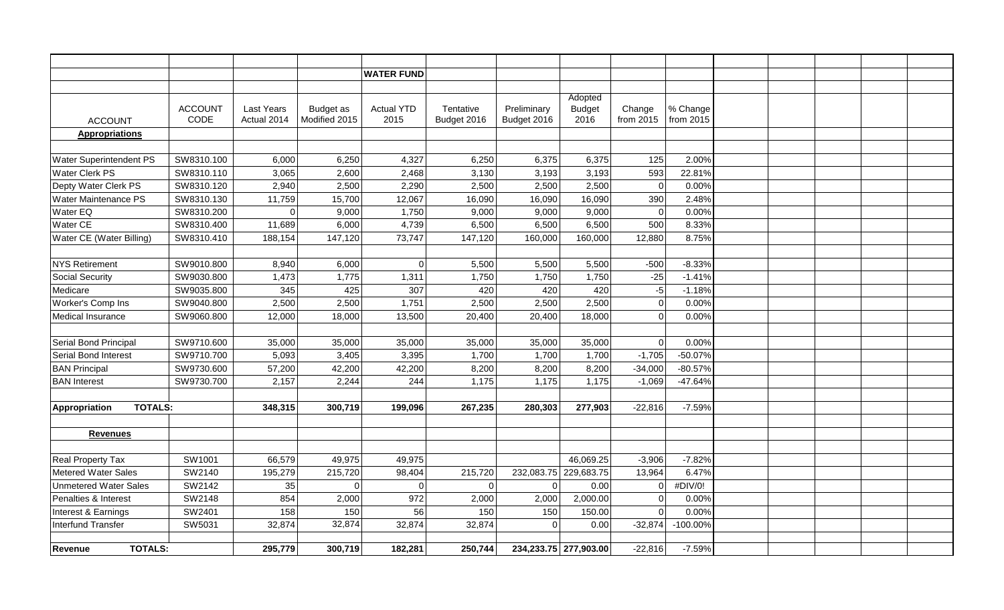|                                 |                |                   |               | <b>WATER FUND</b> |             |             |                       |             |             |  |  |
|---------------------------------|----------------|-------------------|---------------|-------------------|-------------|-------------|-----------------------|-------------|-------------|--|--|
|                                 |                |                   |               |                   |             |             |                       |             |             |  |  |
|                                 |                |                   |               |                   |             |             | Adopted               |             |             |  |  |
|                                 | <b>ACCOUNT</b> | <b>Last Years</b> | Budget as     | <b>Actual YTD</b> | Tentative   | Preliminary | <b>Budget</b>         | Change      | % Change    |  |  |
| <b>ACCOUNT</b>                  | CODE           | Actual 2014       | Modified 2015 | 2015              | Budget 2016 | Budget 2016 | 2016                  | from 2015   | from 2015   |  |  |
| <b>Appropriations</b>           |                |                   |               |                   |             |             |                       |             |             |  |  |
|                                 |                |                   |               |                   |             |             |                       |             |             |  |  |
| Water Superintendent PS         | SW8310.100     | 6,000             | 6,250         | 4,327             | 6,250       | 6,375       | 6,375                 | 125         | 2.00%       |  |  |
| Water Clerk PS                  | SW8310.110     | 3,065             | 2,600         | 2,468             | 3,130       | 3,193       | 3,193                 | 593         | 22.81%      |  |  |
| Depty Water Clerk PS            | SW8310.120     | 2,940             | 2,500         | 2,290             | 2,500       | 2,500       | 2,500                 | $\mathbf 0$ | 0.00%       |  |  |
| Water Maintenance PS            | SW8310.130     | 11,759            | 15,700        | 12,067            | 16,090      | 16,090      | 16,090                | 390         | 2.48%       |  |  |
| Water EQ                        | SW8310.200     | $\Omega$          | 9,000         | 1,750             | 9,000       | 9,000       | 9,000                 | $\mathbf 0$ | 0.00%       |  |  |
| Water CE                        | SW8310.400     | 11,689            | 6,000         | 4,739             | 6,500       | 6,500       | 6,500                 | 500         | 8.33%       |  |  |
| Water CE (Water Billing)        | SW8310.410     | 188,154           | 147,120       | 73,747            | 147,120     | 160,000     | 160,000               | 12,880      | 8.75%       |  |  |
|                                 |                |                   |               |                   |             |             |                       |             |             |  |  |
| <b>NYS Retirement</b>           | SW9010.800     | 8,940             | 6,000         | $\Omega$          | 5,500       | 5,500       | 5,500                 | $-500$      | $-8.33%$    |  |  |
| Social Security                 | SW9030.800     | 1,473             | 1,775         | 1,311             | 1,750       | 1,750       | 1,750                 | $-25$       | $-1.41%$    |  |  |
| Medicare                        | SW9035.800     | 345               | 425           | 307               | 420         | 420         | 420                   | $-5$        | $-1.18%$    |  |  |
| Worker's Comp Ins               | SW9040.800     | 2,500             | 2,500         | 1,751             | 2,500       | 2,500       | 2,500                 | $\mathbf 0$ | 0.00%       |  |  |
| Medical Insurance               | SW9060.800     | 12,000            | 18,000        | 13,500            | 20,400      | 20,400      | 18,000                | $\mathbf 0$ | 0.00%       |  |  |
|                                 |                |                   |               |                   |             |             |                       |             |             |  |  |
| Serial Bond Principal           | SW9710.600     | 35,000            | 35,000        | 35,000            | 35,000      | 35,000      | 35,000                | $\mathbf 0$ | 0.00%       |  |  |
| Serial Bond Interest            | SW9710.700     | 5,093             | 3,405         | 3,395             | 1,700       | 1,700       | 1,700                 | $-1,705$    | $-50.07%$   |  |  |
| <b>BAN Principal</b>            | SW9730.600     | 57,200            | 42,200        | 42,200            | 8,200       | 8,200       | 8,200                 | $-34,000$   | $-80.57%$   |  |  |
| <b>BAN</b> Interest             | SW9730.700     | 2,157             | 2,244         | 244               | 1,175       | 1,175       | 1,175                 | $-1,069$    | $-47.64%$   |  |  |
|                                 |                |                   |               |                   |             |             |                       |             |             |  |  |
| <b>TOTALS:</b><br>Appropriation |                | 348,315           | 300,719       | 199,096           | 267,235     | 280,303     | 277,903               | $-22,816$   | $-7.59%$    |  |  |
|                                 |                |                   |               |                   |             |             |                       |             |             |  |  |
| <b>Revenues</b>                 |                |                   |               |                   |             |             |                       |             |             |  |  |
|                                 |                |                   |               |                   |             |             |                       |             |             |  |  |
| Real Property Tax               | SW1001         | 66,579            | 49,975        | 49,975            |             |             | 46,069.25             | $-3,906$    | $-7.82%$    |  |  |
| Metered Water Sales             | SW2140         | 195,279           | 215,720       | 98,404            | 215,720     | 232,083.75  | 229,683.75            | 13,964      | 6.47%       |  |  |
| <b>Unmetered Water Sales</b>    | SW2142         | 35                | $\Omega$      | $\Omega$          | $\Omega$    | $\Omega$    | 0.00                  | $\Omega$    | #DIV/0!     |  |  |
| Penalties & Interest            | SW2148         | 854               | 2,000         | 972               | 2,000       | 2,000       | 2,000.00              | $\Omega$    | 0.00%       |  |  |
| Interest & Earnings             | SW2401         | 158               | 150           | 56                | 150         | 150         | 150.00                | $\Omega$    | 0.00%       |  |  |
| <b>Interfund Transfer</b>       | SW5031         | 32,874            | 32,874        | 32,874            | 32,874      | $\Omega$    | 0.00                  | $-32,874$   | $-100.00\%$ |  |  |
|                                 |                |                   |               |                   |             |             |                       |             |             |  |  |
| <b>TOTALS:</b><br>Revenue       |                | 295,779           | 300,719       | 182,281           | 250,744     |             | 234,233.75 277,903.00 | $-22,816$   | $-7.59%$    |  |  |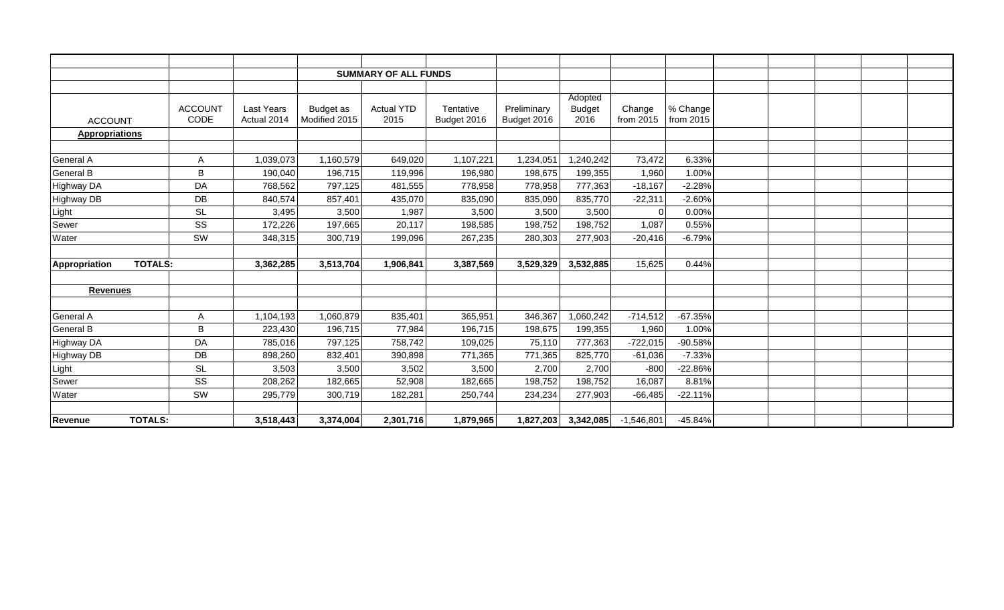|                                  |                |             |               | <b>SUMMARY OF ALL FUNDS</b> |             |             |               |              |           |  |  |
|----------------------------------|----------------|-------------|---------------|-----------------------------|-------------|-------------|---------------|--------------|-----------|--|--|
|                                  |                |             |               |                             |             |             |               |              |           |  |  |
|                                  |                |             |               |                             |             |             | Adopted       |              |           |  |  |
|                                  | <b>ACCOUNT</b> | Last Years  | Budget as     | <b>Actual YTD</b>           | Tentative   | Preliminary | <b>Budget</b> | Change       | % Change  |  |  |
| <b>ACCOUNT</b>                   | CODE           | Actual 2014 | Modified 2015 | 2015                        | Budget 2016 | Budget 2016 | 2016          | from 2015    | from 2015 |  |  |
| <b>Appropriations</b>            |                |             |               |                             |             |             |               |              |           |  |  |
|                                  |                |             |               |                             |             |             |               |              |           |  |  |
| <b>General A</b>                 | A              | 1,039,073   | 1,160,579     | 649,020                     | 1,107,221   | 1,234,051   | 1,240,242     | 73,472       | 6.33%     |  |  |
| <b>General B</b>                 | B              | 190,040     | 196,715       | 119,996                     | 196,980     | 198,675     | 199,355       | 1,960        | 1.00%     |  |  |
| <b>Highway DA</b>                | DA             | 768,562     | 797,125       | 481,555                     | 778,958     | 778,958     | 777,363       | $-18,167$    | $-2.28%$  |  |  |
| <b>Highway DB</b>                | DB             | 840,574     | 857,401       | 435,070                     | 835,090     | 835,090     | 835,770       | $-22,311$    | $-2.60%$  |  |  |
| Light                            | <b>SL</b>      | 3,495       | 3,500         | 1,987                       | 3,500       | 3,500       | 3,500         | $\Omega$     | 0.00%     |  |  |
| Sewer                            | SS             | 172,226     | 197,665       | 20,117                      | 198,585     | 198,752     | 198,752       | 1,087        | 0.55%     |  |  |
| Water                            | SW             | 348,315     | 300,719       | 199,096                     | 267,235     | 280,303     | 277,903       | $-20,416$    | $-6.79%$  |  |  |
|                                  |                |             |               |                             |             |             |               |              |           |  |  |
| <b>TOTALS:</b><br>Appropriation  |                | 3,362,285   | 3,513,704     | 1,906,841                   | 3,387,569   | 3,529,329   | 3,532,885     | 15,625       | 0.44%     |  |  |
| <b>Revenues</b>                  |                |             |               |                             |             |             |               |              |           |  |  |
|                                  |                |             |               |                             |             |             |               |              |           |  |  |
| <b>General A</b>                 | Α              | 1,104,193   | 1,060,879     | 835,401                     | 365,951     | 346,367     | 1,060,242     | $-714,512$   | $-67.35%$ |  |  |
| <b>General B</b>                 | B              | 223,430     | 196,715       | 77,984                      | 196,715     | 198,675     | 199,355       | 1,960        | 1.00%     |  |  |
| <b>Highway DA</b>                | DA             | 785,016     | 797,125       | 758,742                     | 109,025     | 75,110      | 777,363       | $-722,015$   | $-90.58%$ |  |  |
| <b>Highway DB</b>                | DB             | 898,260     | 832,401       | 390,898                     | 771,365     | 771,365     | 825,770       | $-61,036$    | $-7.33%$  |  |  |
| Light                            | <b>SL</b>      | 3,503       | 3,500         | 3,502                       | 3,500       | 2,700       | 2,700         | $-800$       | $-22.86%$ |  |  |
| Sewer                            | SS             | 208,262     | 182,665       | 52,908                      | 182,665     | 198,752     | 198,752       | 16,087       | 8.81%     |  |  |
| Water                            | SW             | 295,779     | 300,719       | 182,281                     | 250,744     | 234,234     | 277,903       | $-66,485$    | $-22.11%$ |  |  |
|                                  |                |             |               |                             |             |             |               |              |           |  |  |
| <b>TOTALS:</b><br><b>Revenue</b> |                | 3,518,443   | 3,374,004     | 2,301,716                   | 1,879,965   | 1,827,203   | 3,342,085     | $-1,546,801$ | $-45.84%$ |  |  |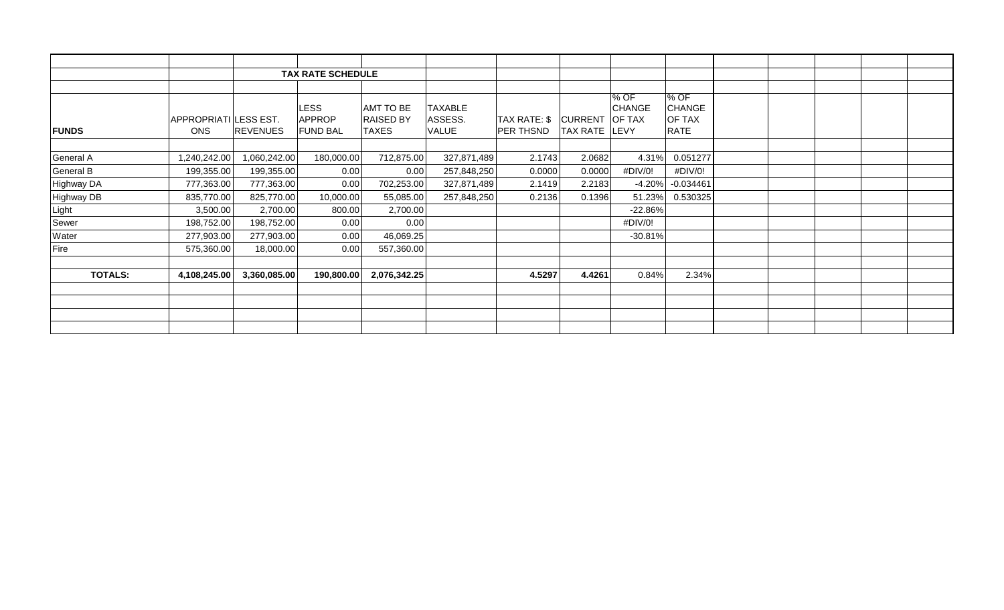|                   |                       |                 | <b>TAX RATE SCHEDULE</b>     |                                      |                           |              |                |                                 |                                           |  |  |  |
|-------------------|-----------------------|-----------------|------------------------------|--------------------------------------|---------------------------|--------------|----------------|---------------------------------|-------------------------------------------|--|--|--|
|                   |                       |                 |                              |                                      |                           |              |                |                                 |                                           |  |  |  |
|                   | APPROPRIATI LESS EST. |                 | <b>LESS</b><br><b>APPROP</b> | <b>AMT TO BE</b><br><b>RAISED BY</b> | <b>TAXABLE</b><br>ASSESS. | TAX RATE: \$ | <b>CURRENT</b> | % OF<br><b>CHANGE</b><br>OF TAX | $\%$ OF<br><b>CHANGE</b><br><b>OF TAX</b> |  |  |  |
| <b>FUNDS</b>      | <b>ONS</b>            | <b>REVENUES</b> | <b>FUND BAL</b>              | <b>TAXES</b>                         | VALUE                     | PER THSND    | TAX RATE       | LEVY                            | <b>RATE</b>                               |  |  |  |
|                   |                       |                 |                              |                                      |                           |              |                |                                 |                                           |  |  |  |
| General A         | 1,240,242.00          | 1,060,242.00    | 180,000.00                   | 712,875.00                           | 327,871,489               | 2.1743       | 2.0682         | 4.31%                           | 0.051277                                  |  |  |  |
| General B         | 199,355.00            | 199,355.00      | 0.00                         | 0.00                                 | 257,848,250               | 0.0000       | 0.0000         | #DIV/0!                         | #DIV/0!                                   |  |  |  |
| <b>Highway DA</b> | 777,363.00            | 777,363.00      | 0.00                         | 702,253.00                           | 327,871,489               | 2.1419       | 2.2183         | $-4.20%$                        | $-0.034461$                               |  |  |  |
| <b>Highway DB</b> | 835,770.00            | 825,770.00      | 10,000.00                    | 55,085.00                            | 257,848,250               | 0.2136       | 0.1396         | 51.23%                          | 0.530325                                  |  |  |  |
| Light             | 3,500.00              | 2,700.00        | 800.00                       | 2,700.00                             |                           |              |                | $-22.86\%$                      |                                           |  |  |  |
| Sewer             | 198,752.00            | 198,752.00      | 0.00                         | 0.00                                 |                           |              |                | #DIV/0!                         |                                           |  |  |  |
| Water             | 277,903.00            | 277,903.00      | 0.00                         | 46,069.25                            |                           |              |                | $-30.81%$                       |                                           |  |  |  |
| Fire              | 575,360.00            | 18,000.00       | 0.00                         | 557,360.00                           |                           |              |                |                                 |                                           |  |  |  |
|                   |                       |                 |                              |                                      |                           |              |                |                                 |                                           |  |  |  |
| <b>TOTALS:</b>    | 4,108,245.00          | 3,360,085.00    | 190,800.00                   | 2,076,342.25                         |                           | 4.5297       | 4.4261         | 0.84%                           | 2.34%                                     |  |  |  |
|                   |                       |                 |                              |                                      |                           |              |                |                                 |                                           |  |  |  |
|                   |                       |                 |                              |                                      |                           |              |                |                                 |                                           |  |  |  |
|                   |                       |                 |                              |                                      |                           |              |                |                                 |                                           |  |  |  |
|                   |                       |                 |                              |                                      |                           |              |                |                                 |                                           |  |  |  |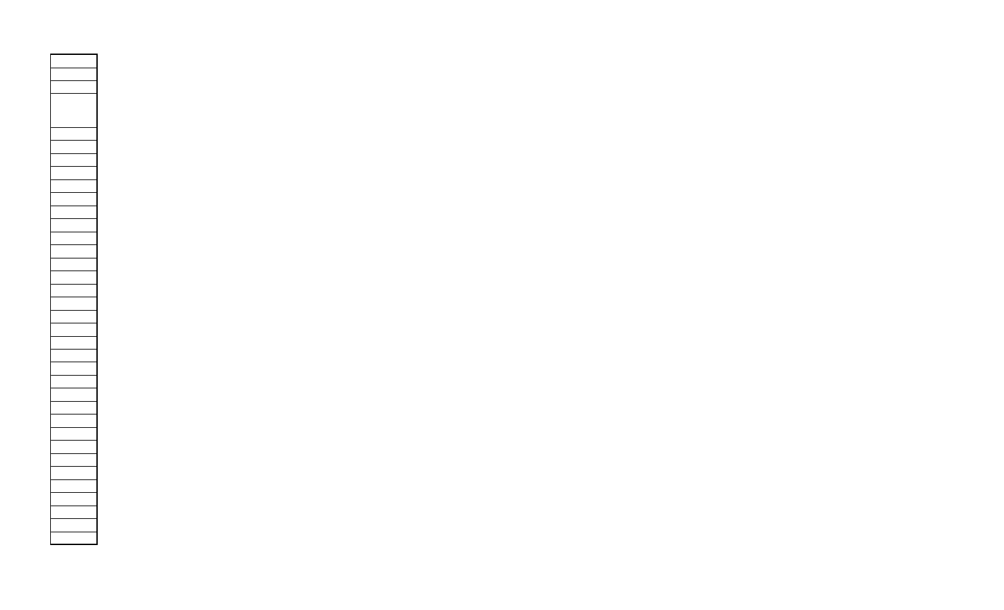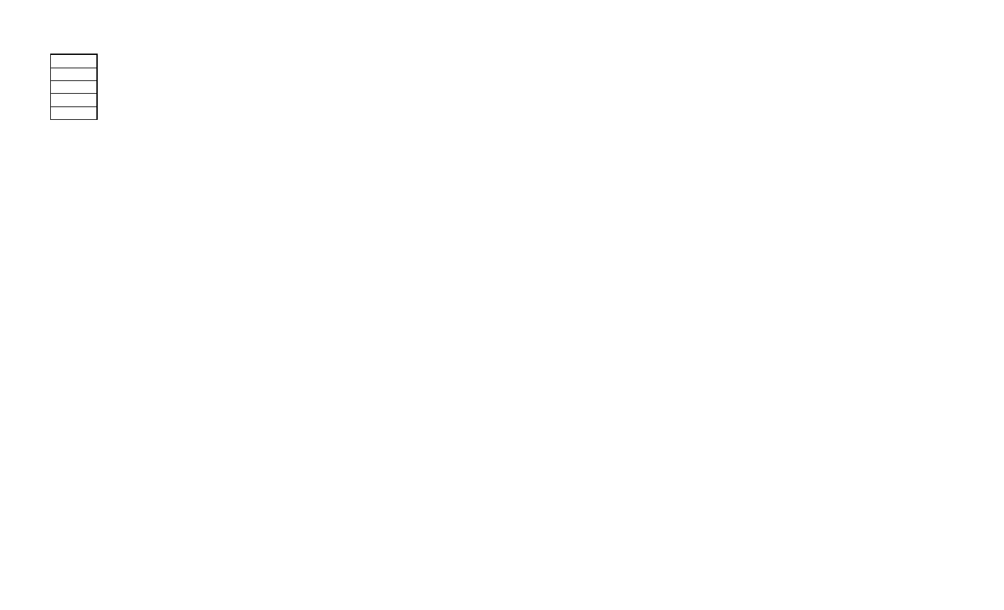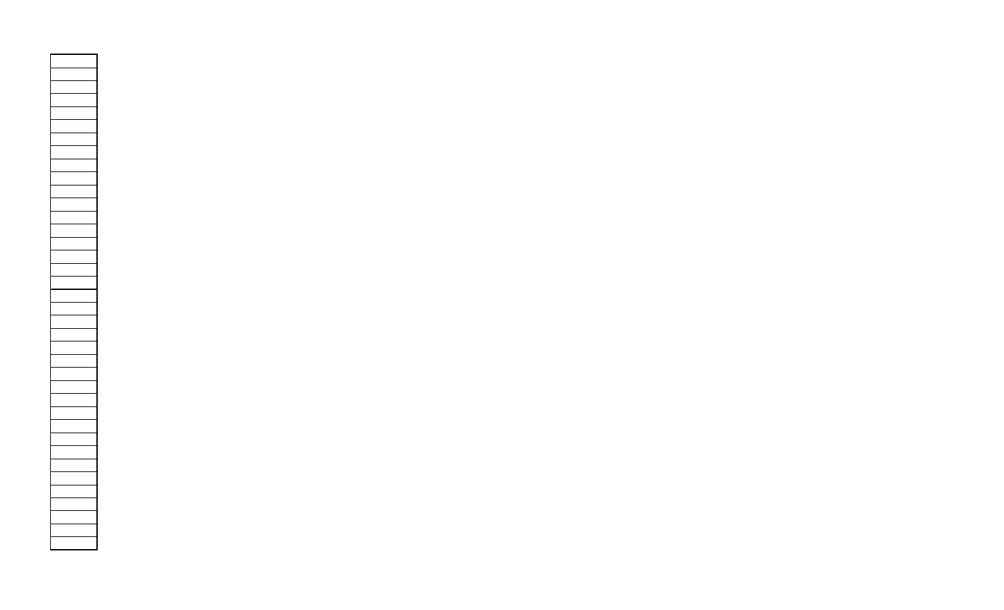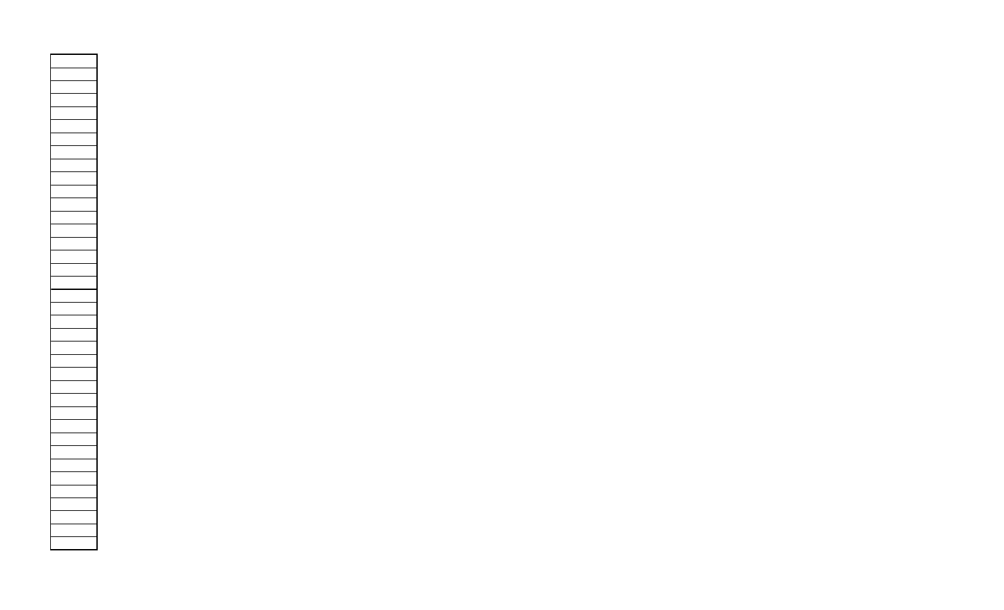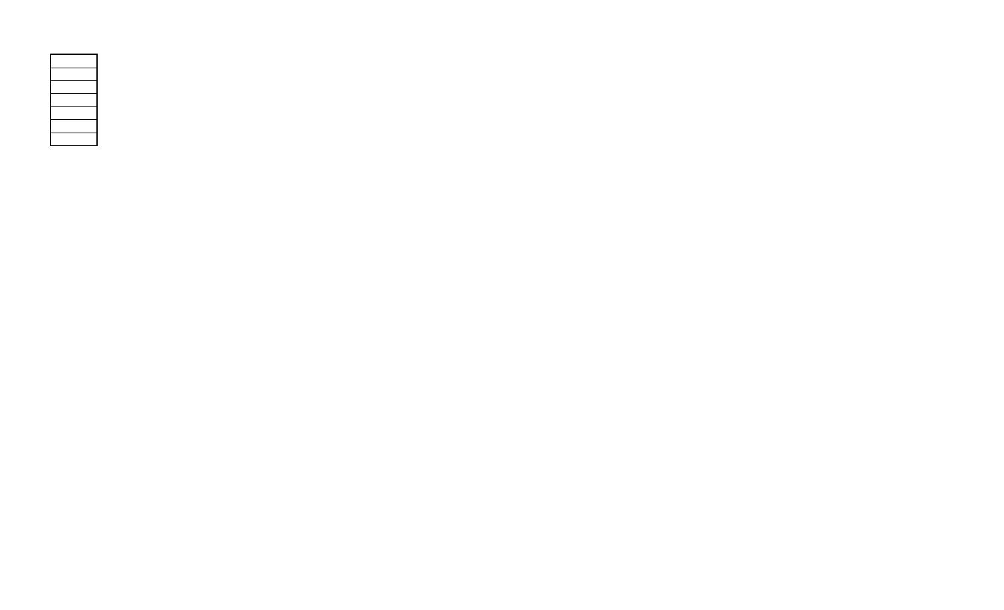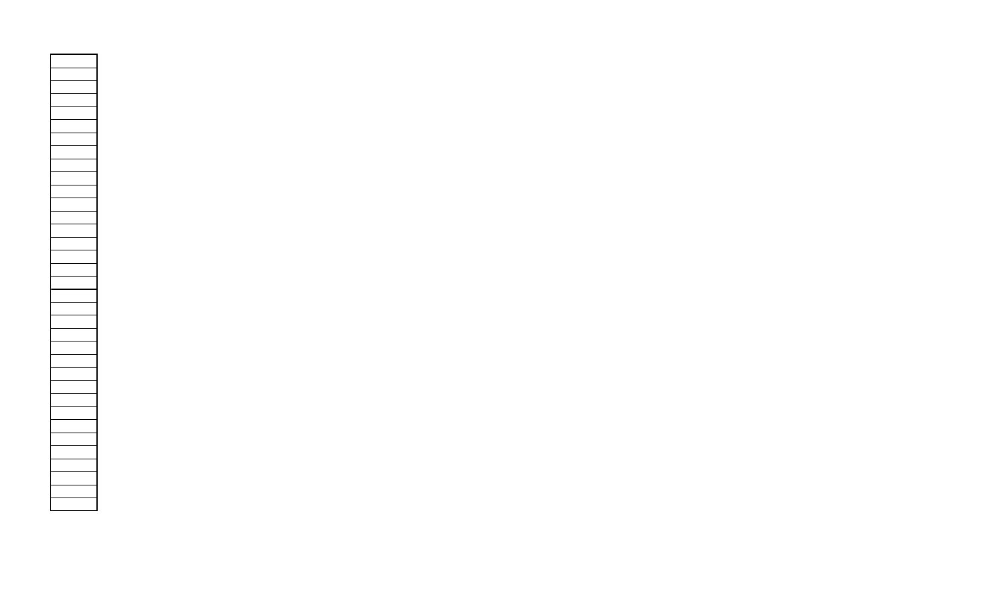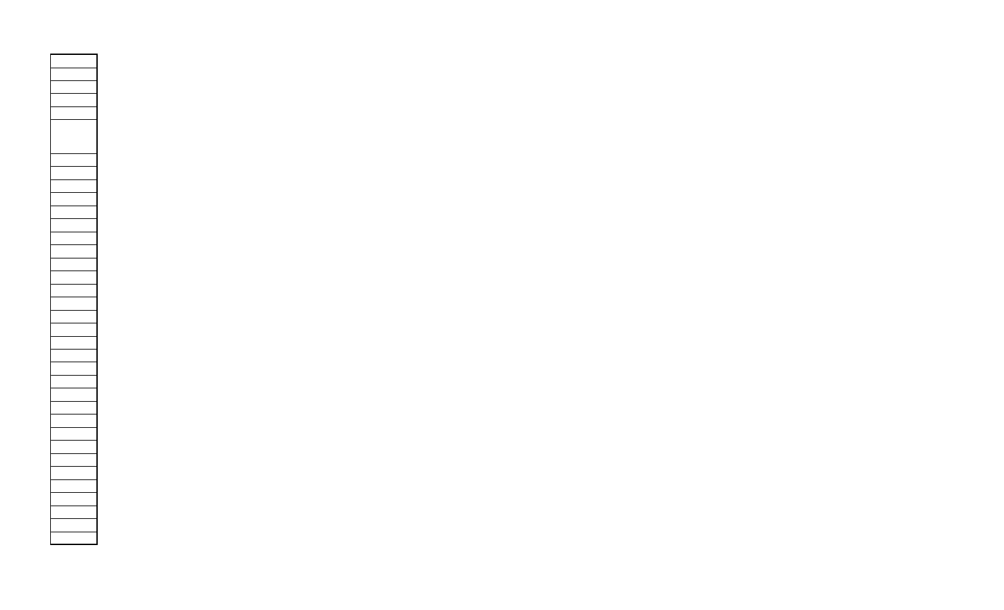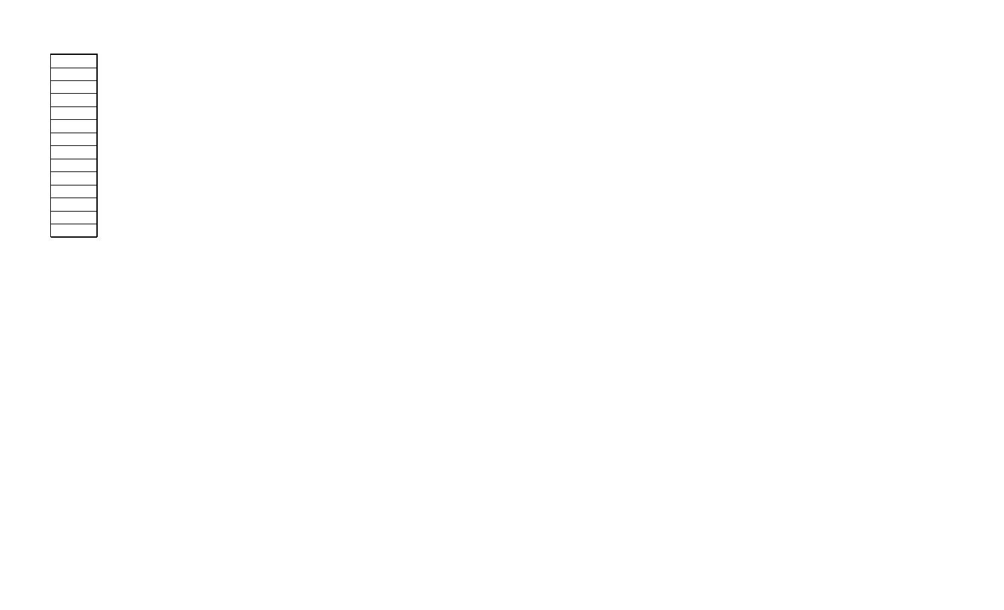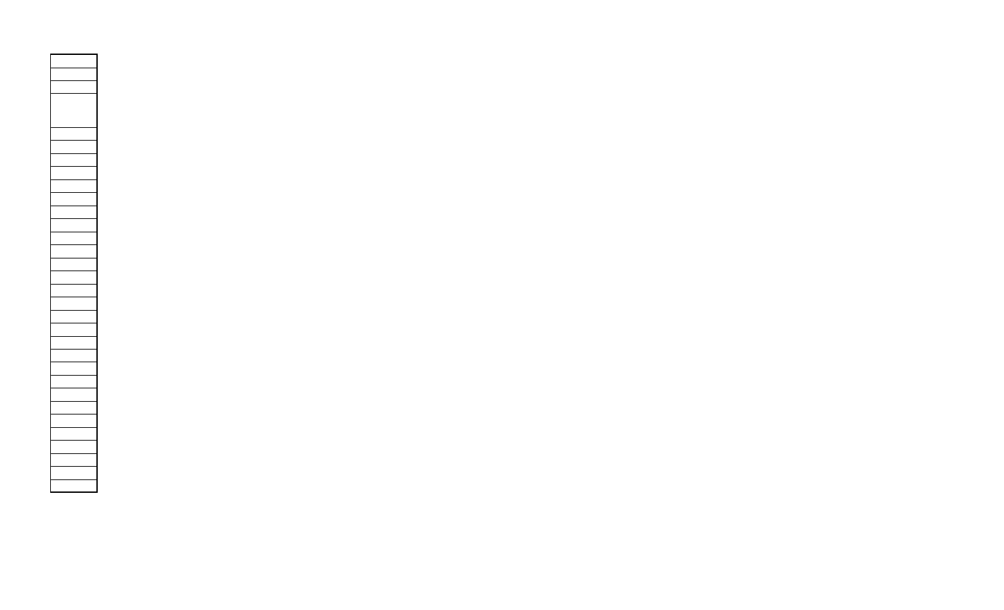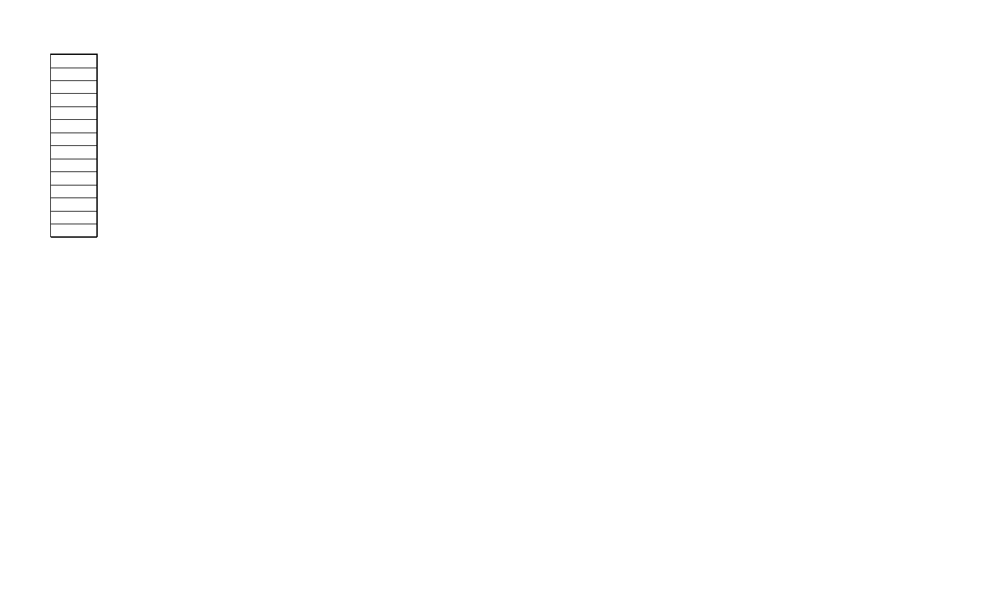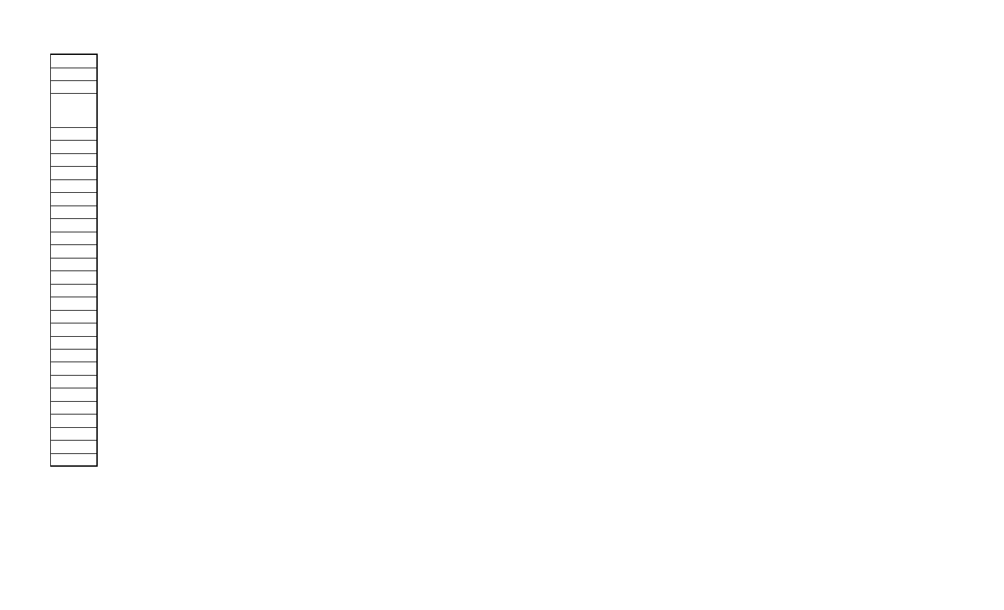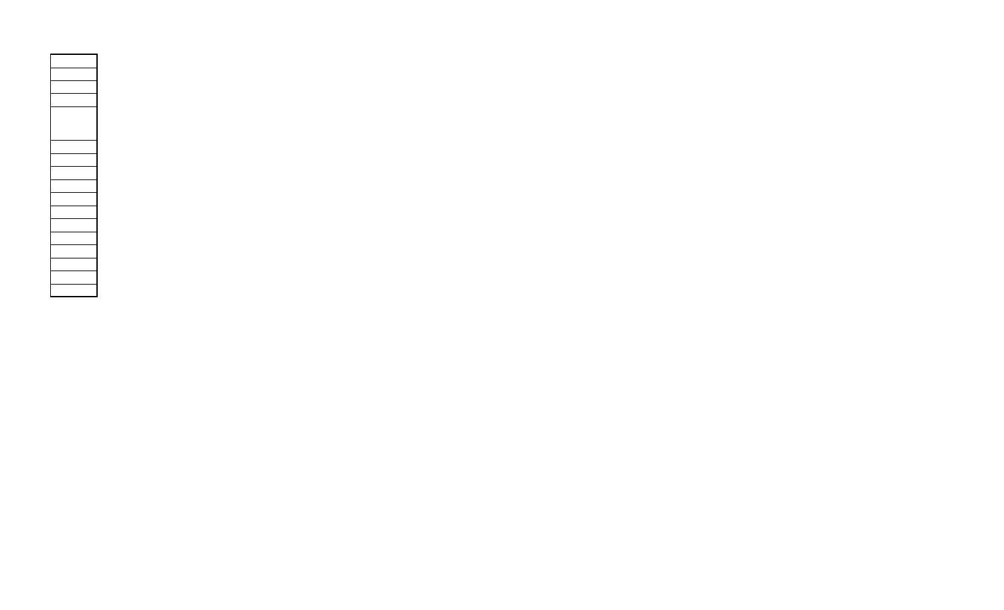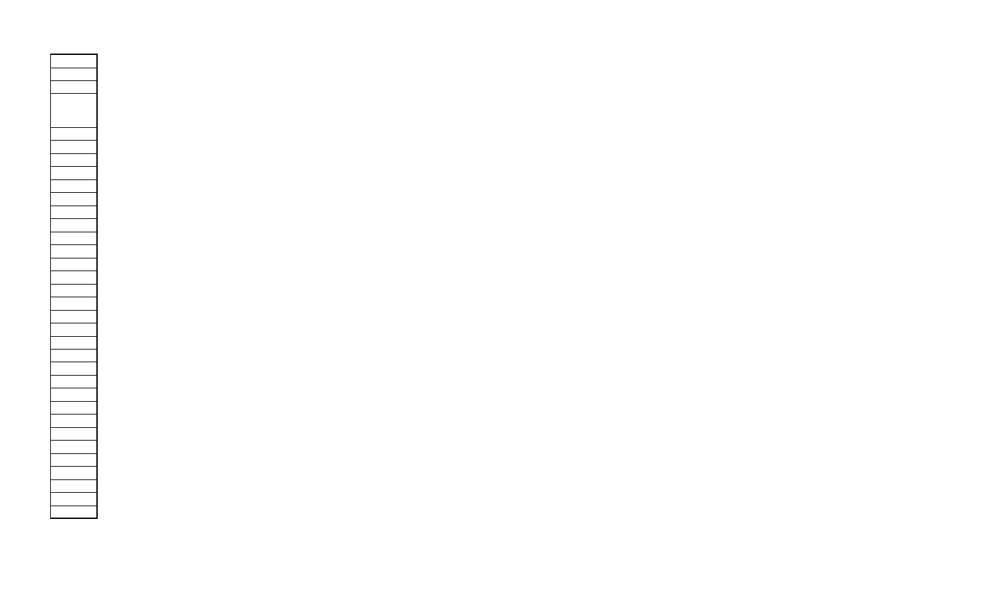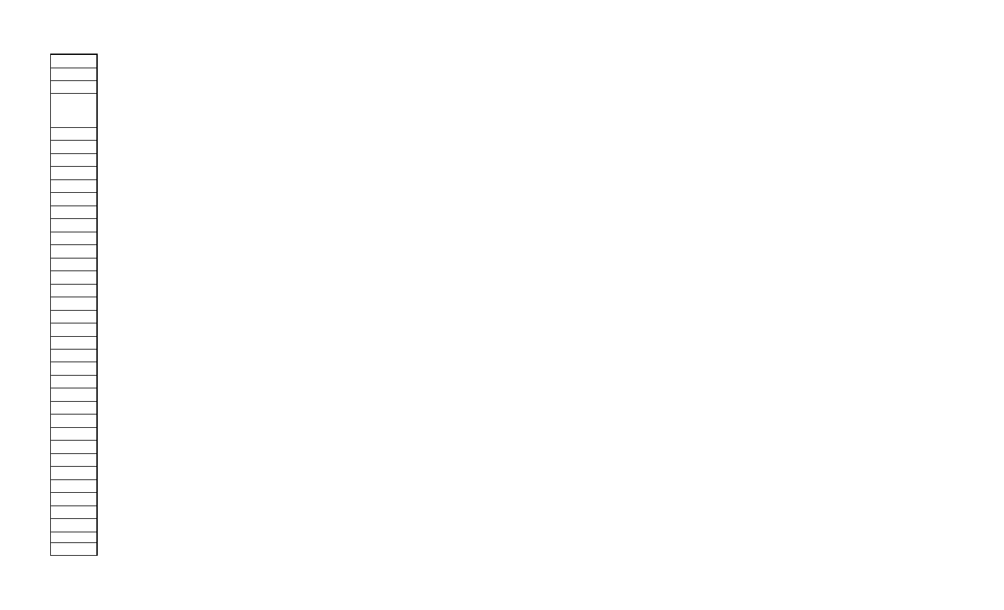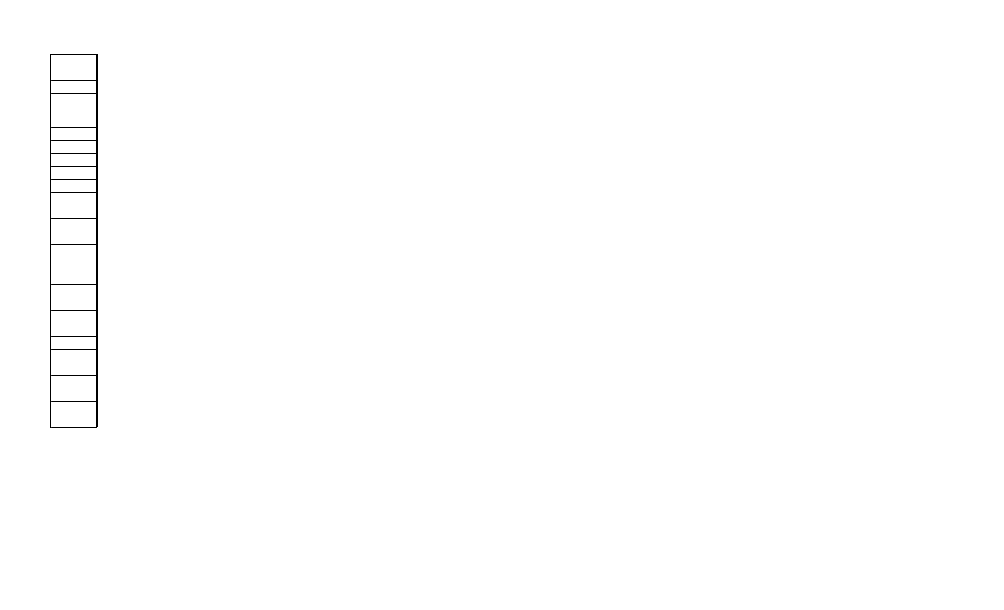